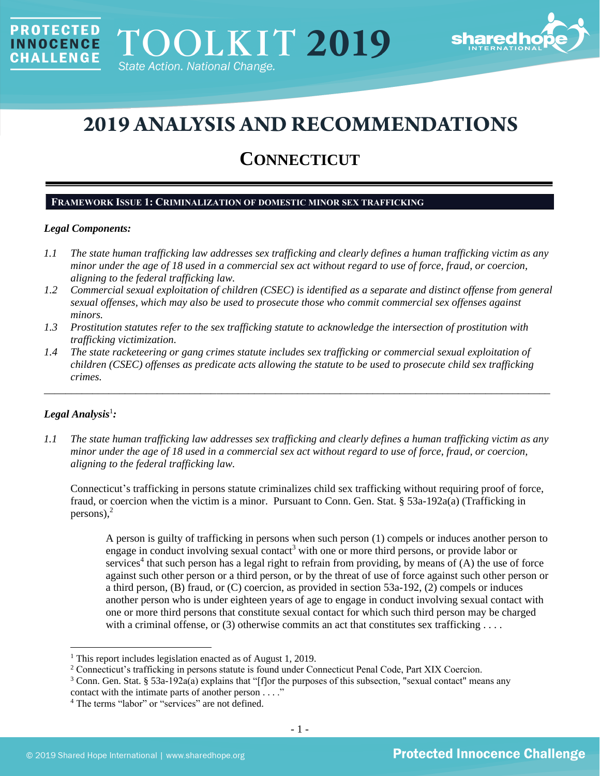

# **2019 ANALYSIS AND RECOMMENDATIONS**

## **CONNECTICUT**

### **FRAMEWORK ISSUE 1: CRIMINALIZATION OF DOMESTIC MINOR SEX TRAFFICKING**

### *Legal Components:*

**PROTECTED** 

**INNOCENCE CHALLENGE** 

- *1.1 The state human trafficking law addresses sex trafficking and clearly defines a human trafficking victim as any minor under the age of 18 used in a commercial sex act without regard to use of force, fraud, or coercion, aligning to the federal trafficking law.*
- *1.2 Commercial sexual exploitation of children (CSEC) is identified as a separate and distinct offense from general sexual offenses, which may also be used to prosecute those who commit commercial sex offenses against minors.*
- *1.3 Prostitution statutes refer to the sex trafficking statute to acknowledge the intersection of prostitution with trafficking victimization.*
- *1.4 The state racketeering or gang crimes statute includes sex trafficking or commercial sexual exploitation of children (CSEC) offenses as predicate acts allowing the statute to be used to prosecute child sex trafficking crimes.*

\_\_\_\_\_\_\_\_\_\_\_\_\_\_\_\_\_\_\_\_\_\_\_\_\_\_\_\_\_\_\_\_\_\_\_\_\_\_\_\_\_\_\_\_\_\_\_\_\_\_\_\_\_\_\_\_\_\_\_\_\_\_\_\_\_\_\_\_\_\_\_\_\_\_\_\_\_\_\_\_\_\_\_\_\_\_\_\_\_\_\_\_\_\_

## $Legal$  Analysis<sup>1</sup>:

*1.1 The state human trafficking law addresses sex trafficking and clearly defines a human trafficking victim as any minor under the age of 18 used in a commercial sex act without regard to use of force, fraud, or coercion, aligning to the federal trafficking law.*

Connecticut's trafficking in persons statute criminalizes child sex trafficking without requiring proof of force, fraud, or coercion when the victim is a minor. Pursuant to Conn. Gen. Stat. § 53a-192a(a) (Trafficking in persons), 2

A person is guilty of trafficking in persons when such person (1) compels or induces another person to engage in conduct involving sexual contact<sup>3</sup> with one or more third persons, or provide labor or services<sup>4</sup> that such person has a legal right to refrain from providing, by means of  $(A)$  the use of force against such other person or a third person, or by the threat of use of force against such other person or a third person, (B) fraud, or (C) coercion, as provided in section 53a-192, (2) compels or induces another person who is under eighteen years of age to engage in conduct involving sexual contact with one or more third persons that constitute sexual contact for which such third person may be charged with a criminal offense, or  $(3)$  otherwise commits an act that constitutes sex trafficking ...

<sup>&</sup>lt;sup>1</sup> This report includes legislation enacted as of August 1, 2019.

<sup>&</sup>lt;sup>2</sup> Connecticut's trafficking in persons statute is found under Connecticut Penal Code, Part XIX Coercion.

<sup>3</sup> Conn. Gen. Stat. § 53a-192a(a) explains that "[f]or the purposes of this subsection, "sexual contact" means any contact with the intimate parts of another person . . . ."

<sup>4</sup> The terms "labor" or "services" are not defined.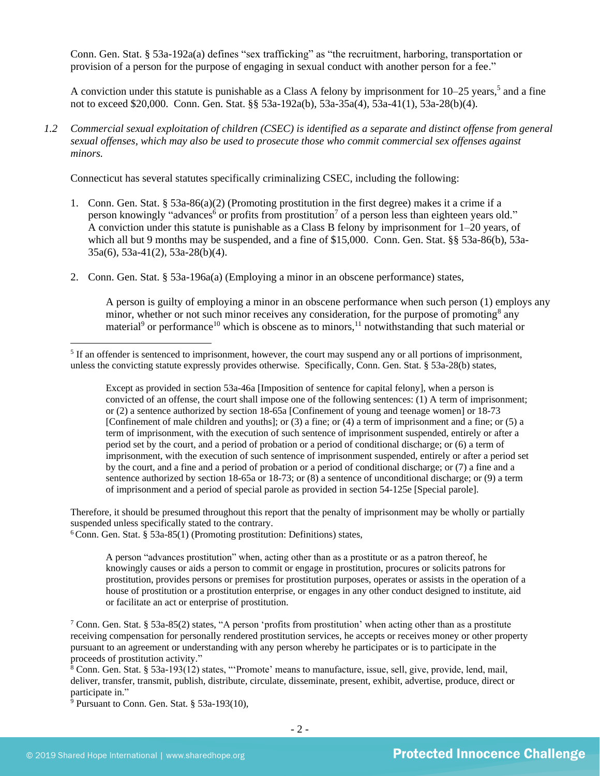Conn. Gen. Stat. § 53a-192a(a) defines "sex trafficking" as "the recruitment, harboring, transportation or provision of a person for the purpose of engaging in sexual conduct with another person for a fee."

A conviction under this statute is punishable as a Class A felony by imprisonment for 10–25 years,<sup>5</sup> and a fine not to exceed \$20,000. Conn. Gen. Stat. §§ 53a-192a(b), 53a-35a(4), 53a-41(1), 53a-28(b)(4).

*1.2 Commercial sexual exploitation of children (CSEC) is identified as a separate and distinct offense from general sexual offenses, which may also be used to prosecute those who commit commercial sex offenses against minors.*

Connecticut has several statutes specifically criminalizing CSEC, including the following:

- 1. Conn. Gen. Stat. § 53a-86(a)(2) (Promoting prostitution in the first degree) makes it a crime if a person knowingly "advances<sup>6</sup> or profits from prostitution<sup>7</sup> of a person less than eighteen years old." A conviction under this statute is punishable as a Class B felony by imprisonment for 1–20 years, of which all but 9 months may be suspended, and a fine of \$15,000. Conn. Gen. Stat. §§ 53a-86(b), 53a-35a(6), 53a-41(2), 53a-28(b)(4).
- 2. Conn. Gen. Stat. § 53a-196a(a) (Employing a minor in an obscene performance) states,

<span id="page-1-5"></span><span id="page-1-4"></span><span id="page-1-3"></span><span id="page-1-2"></span><span id="page-1-1"></span><span id="page-1-0"></span>A person is guilty of employing a minor in an obscene performance when such person (1) employs any minor, whether or not such minor receives any consideration, for the purpose of promoting<sup>8</sup> any material<sup>9</sup> or performance<sup>10</sup> which is obscene as to minors,<sup>11</sup> notwithstanding that such material or

Except as provided in section 53a-46a [Imposition of sentence for capital felony], when a person is convicted of an offense, the court shall impose one of the following sentences: (1) A term of imprisonment; or (2) a sentence authorized by section 18-65a [Confinement of young and teenage women] or 18-73 [Confinement of male children and youths]; or (3) a fine; or (4) a term of imprisonment and a fine; or (5) a term of imprisonment, with the execution of such sentence of imprisonment suspended, entirely or after a period set by the court, and a period of probation or a period of conditional discharge; or (6) a term of imprisonment, with the execution of such sentence of imprisonment suspended, entirely or after a period set by the court, and a fine and a period of probation or a period of conditional discharge; or (7) a fine and a sentence authorized by section 18-65a or 18-73; or (8) a sentence of unconditional discharge; or (9) a term of imprisonment and a period of special parole as provided in section 54-125e [Special parole].

Therefore, it should be presumed throughout this report that the penalty of imprisonment may be wholly or partially suspended unless specifically stated to the contrary.

 $6$ Conn. Gen. Stat. § 53a-85(1) (Promoting prostitution: Definitions) states,

A person "advances prostitution" when, acting other than as a prostitute or as a patron thereof, he knowingly causes or aids a person to commit or engage in prostitution, procures or solicits patrons for prostitution, provides persons or premises for prostitution purposes, operates or assists in the operation of a house of prostitution or a prostitution enterprise, or engages in any other conduct designed to institute, aid or facilitate an act or enterprise of prostitution.

 $\frac{1}{9}$  Pursuant to Conn. Gen. Stat. § 53a-193(10),

<sup>&</sup>lt;sup>5</sup> If an offender is sentenced to imprisonment, however, the court may suspend any or all portions of imprisonment, unless the convicting statute expressly provides otherwise. Specifically, Conn. Gen. Stat. § 53a-28(b) states,

<sup>7</sup> Conn. Gen. Stat. § 53a-85(2) states, "A person 'profits from prostitution' when acting other than as a prostitute receiving compensation for personally rendered prostitution services, he accepts or receives money or other property pursuant to an agreement or understanding with any person whereby he participates or is to participate in the proceeds of prostitution activity."

 $8$  Conn. Gen. Stat. § 53a-193(12) states, "'Promote' means to manufacture, issue, sell, give, provide, lend, mail, deliver, transfer, transmit, publish, distribute, circulate, disseminate, present, exhibit, advertise, produce, direct or participate in."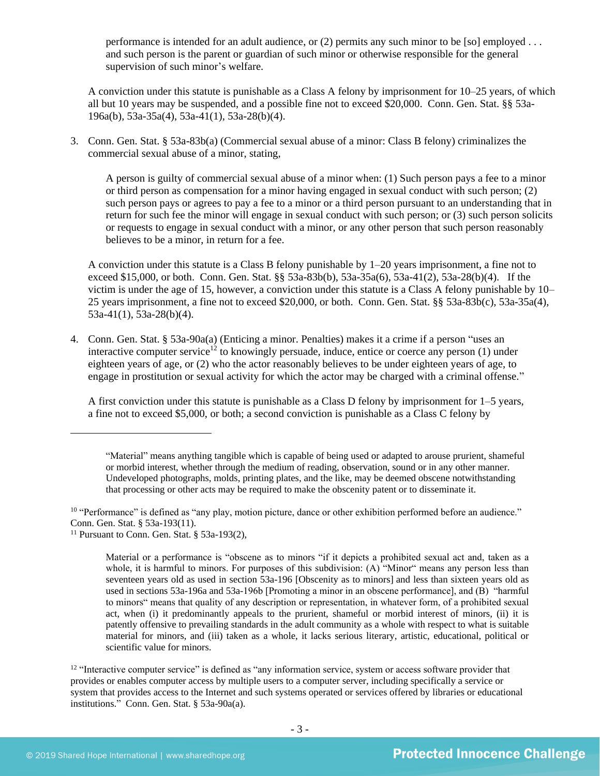performance is intended for an adult audience, or (2) permits any such minor to be [so] employed . . . and such person is the parent or guardian of such minor or otherwise responsible for the general supervision of such minor's welfare.

A conviction under this statute is punishable as a Class A felony by imprisonment for 10–25 years, of which all but 10 years may be suspended, and a possible fine not to exceed \$20,000. Conn. Gen. Stat. §§ 53a-196a(b), 53a-35a(4), 53a-41(1), 53a-28(b)(4).

3. Conn. Gen. Stat. § 53a-83b(a) (Commercial sexual abuse of a minor: Class B felony) criminalizes the commercial sexual abuse of a minor, stating,

A person is guilty of commercial sexual abuse of a minor when: (1) Such person pays a fee to a minor or third person as compensation for a minor having engaged in sexual conduct with such person; (2) such person pays or agrees to pay a fee to a minor or a third person pursuant to an understanding that in return for such fee the minor will engage in sexual conduct with such person; or (3) such person solicits or requests to engage in sexual conduct with a minor, or any other person that such person reasonably believes to be a minor, in return for a fee.

A conviction under this statute is a Class B felony punishable by 1–20 years imprisonment, a fine not to exceed \$15,000, or both. Conn. Gen. Stat. §§ 53a-83b(b), 53a-35a(6), 53a-41(2), 53a-28(b)(4). If the victim is under the age of 15, however, a conviction under this statute is a Class A felony punishable by 10– 25 years imprisonment, a fine not to exceed \$20,000, or both. Conn. Gen. Stat. §§ 53a-83b(c), 53a-35a(4), 53a-41(1), 53a-28(b)(4).

4. Conn. Gen. Stat. § 53a-90a(a) (Enticing a minor. Penalties) makes it a crime if a person "uses an interactive computer service<sup>12</sup> to knowingly persuade, induce, entice or coerce any person (1) under eighteen years of age, or (2) who the actor reasonably believes to be under eighteen years of age, to engage in prostitution or sexual activity for which the actor may be charged with a criminal offense."

<span id="page-2-0"></span>A first conviction under this statute is punishable as a Class D felony by imprisonment for 1–5 years, a fine not to exceed \$5,000, or both; a second conviction is punishable as a Class C felony by

<sup>10</sup> "Performance" is defined as "any play, motion picture, dance or other exhibition performed before an audience." Conn. Gen. Stat. § 53a-193(11).

 $12$  "Interactive computer service" is defined as "any information service, system or access software provider that provides or enables computer access by multiple users to a computer server, including specifically a service or system that provides access to the Internet and such systems operated or services offered by libraries or educational institutions." Conn. Gen. Stat. § 53a-90a(a).

<sup>&</sup>quot;Material" means anything tangible which is capable of being used or adapted to arouse prurient, shameful or morbid interest, whether through the medium of reading, observation, sound or in any other manner. Undeveloped photographs, molds, printing plates, and the like, may be deemed obscene notwithstanding that processing or other acts may be required to make the obscenity patent or to disseminate it.

<sup>&</sup>lt;sup>11</sup> Pursuant to Conn. Gen. Stat.  $§$  53a-193(2),

Material or a performance is "obscene as to minors "if it depicts a prohibited sexual act and, taken as a whole, it is harmful to minors. For purposes of this subdivision: (A) "Minor" means any person less than seventeen years old as used in section 53a-196 [Obscenity as to minors] and less than sixteen years old as used in sections 53a-196a and 53a-196b [Promoting a minor in an obscene performance], and (B) "harmful to minors" means that quality of any description or representation, in whatever form, of a prohibited sexual act, when (i) it predominantly appeals to the prurient, shameful or morbid interest of minors, (ii) it is patently offensive to prevailing standards in the adult community as a whole with respect to what is suitable material for minors, and (iii) taken as a whole, it lacks serious literary, artistic, educational, political or scientific value for minors.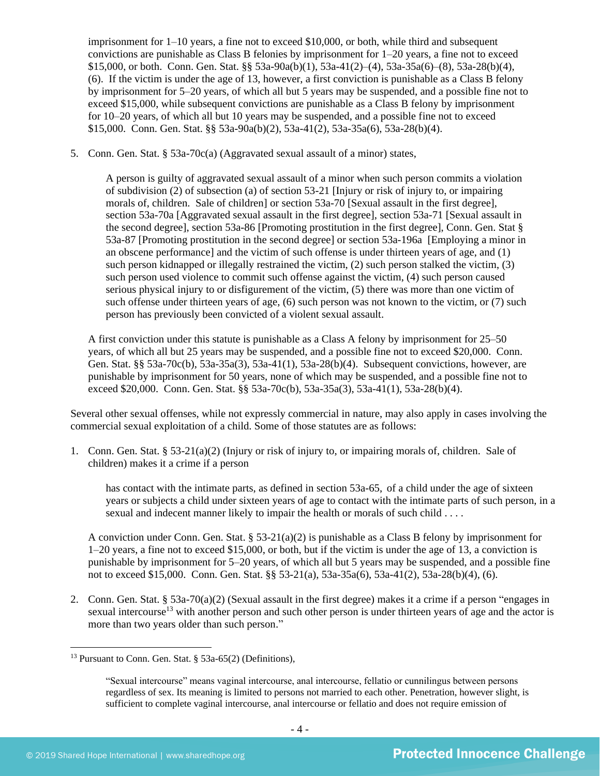imprisonment for  $1-10$  years, a fine not to exceed \$10,000, or both, while third and subsequent convictions are punishable as Class B felonies by imprisonment for 1–20 years, a fine not to exceed \$15,000, or both. Conn. Gen. Stat. §§ 53a-90a(b)(1), 53a-41(2)–(4), 53a-35a(6)–(8), 53a-28(b)(4), (6). If the victim is under the age of 13, however, a first conviction is punishable as a Class B felony by imprisonment for 5–20 years, of which all but 5 years may be suspended, and a possible fine not to exceed \$15,000, while subsequent convictions are punishable as a Class B felony by imprisonment for 10–20 years, of which all but 10 years may be suspended, and a possible fine not to exceed \$15,000. Conn. Gen. Stat. §§ 53a-90a(b)(2), 53a-41(2), 53a-35a(6), 53a-28(b)(4).

5. Conn. Gen. Stat. § 53a-70c(a) (Aggravated sexual assault of a minor) states,

A person is guilty of aggravated sexual assault of a minor when such person commits a violation of subdivision (2) of subsection (a) of section 53-21 [Injury or risk of injury to, or impairing morals of, children. Sale of children] or section 53a-70 [Sexual assault in the first degree], section 53a-70a [Aggravated sexual assault in the first degree], section 53a-71 [Sexual assault in the second degree], section 53a-86 [Promoting prostitution in the first degree], Conn. Gen. Stat § 53a-87 [Promoting prostitution in the second degree] or section 53a-196a [Employing a minor in an obscene performance] and the victim of such offense is under thirteen years of age, and (1) such person kidnapped or illegally restrained the victim, (2) such person stalked the victim, (3) such person used violence to commit such offense against the victim, (4) such person caused serious physical injury to or disfigurement of the victim, (5) there was more than one victim of such offense under thirteen years of age, (6) such person was not known to the victim, or (7) such person has previously been convicted of a violent sexual assault.

A first conviction under this statute is punishable as a Class A felony by imprisonment for 25–50 years, of which all but 25 years may be suspended, and a possible fine not to exceed \$20,000. Conn. Gen. Stat. §§ 53a-70c(b), 53a-35a(3), 53a-41(1), 53a-28(b)(4). Subsequent convictions, however, are punishable by imprisonment for 50 years, none of which may be suspended, and a possible fine not to exceed \$20,000. Conn. Gen. Stat. §§ 53a-70c(b), 53a-35a(3), 53a-41(1), 53a-28(b)(4).

Several other sexual offenses, while not expressly commercial in nature, may also apply in cases involving the commercial sexual exploitation of a child. Some of those statutes are as follows:

1. Conn. Gen. Stat. § 53-21(a)(2) (Injury or risk of injury to, or impairing morals of, children. Sale of children) makes it a crime if a person

has contact with the intimate parts, as defined in section 53a-65, of a child under the age of sixteen years or subjects a child under sixteen years of age to contact with the intimate parts of such person, in a sexual and indecent manner likely to impair the health or morals of such child . . . .

A conviction under Conn. Gen. Stat.  $\S 53-21(a)(2)$  is punishable as a Class B felony by imprisonment for 1–20 years, a fine not to exceed \$15,000, or both, but if the victim is under the age of 13, a conviction is punishable by imprisonment for 5–20 years, of which all but 5 years may be suspended, and a possible fine not to exceed \$15,000. Conn. Gen. Stat. §§ 53-21(a), 53a-35a(6), 53a-41(2), 53a-28(b)(4), (6).

2. Conn. Gen. Stat. § 53a-70(a)(2) (Sexual assault in the first degree) makes it a crime if a person "engages in sexual intercourse<sup>13</sup> with another person and such other person is under thirteen years of age and the actor is more than two years older than such person."

<sup>13</sup> Pursuant to Conn. Gen. Stat. § 53a-65(2) (Definitions),

<sup>&</sup>quot;Sexual intercourse" means vaginal intercourse, anal intercourse, fellatio or cunnilingus between persons regardless of sex. Its meaning is limited to persons not married to each other. Penetration, however slight, is sufficient to complete vaginal intercourse, anal intercourse or fellatio and does not require emission of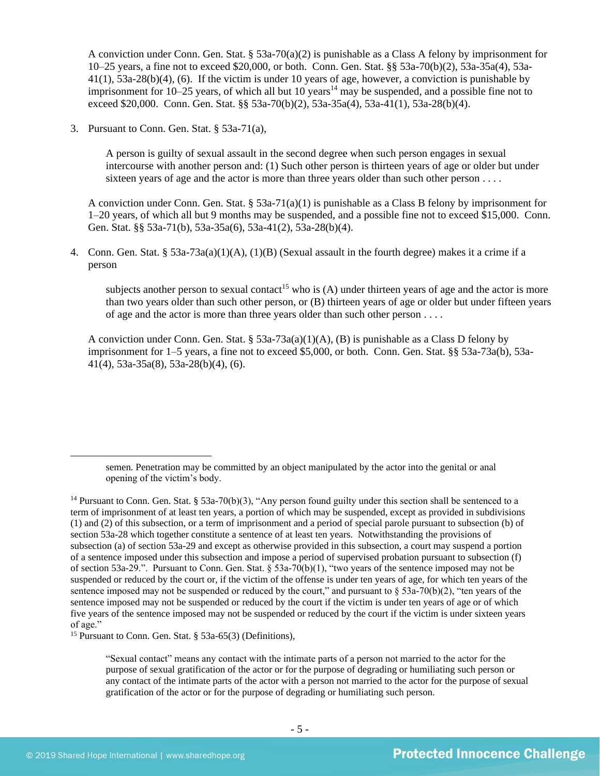A conviction under Conn. Gen. Stat. § 53a-70(a)(2) is punishable as a Class A felony by imprisonment for 10–25 years, a fine not to exceed \$20,000, or both. Conn. Gen. Stat. §§ 53a-70(b)(2), 53a-35a(4), 53a-41(1), 53a-28(b)(4), (6). If the victim is under 10 years of age, however, a conviction is punishable by imprisonment for  $10-25$  years, of which all but  $10$  years<sup>14</sup> may be suspended, and a possible fine not to exceed \$20,000. Conn. Gen. Stat. §§ 53a-70(b)(2), 53a-35a(4), 53a-41(1), 53a-28(b)(4).

3. Pursuant to Conn. Gen. Stat. § 53a-71(a),

A person is guilty of sexual assault in the second degree when such person engages in sexual intercourse with another person and: (1) Such other person is thirteen years of age or older but under sixteen years of age and the actor is more than three years older than such other person . . . .

A conviction under Conn. Gen. Stat. § 53a-71(a)(1) is punishable as a Class B felony by imprisonment for 1–20 years, of which all but 9 months may be suspended, and a possible fine not to exceed \$15,000. Conn. Gen. Stat. §§ 53a-71(b), 53a-35a(6), 53a-41(2), 53a-28(b)(4).

4. Conn. Gen. Stat. § 53a-73a(a)(1)(A), (1)(B) (Sexual assault in the fourth degree) makes it a crime if a person

subjects another person to sexual contact<sup>15</sup> who is  $(A)$  under thirteen years of age and the actor is more than two years older than such other person, or (B) thirteen years of age or older but under fifteen years of age and the actor is more than three years older than such other person . . . .

A conviction under Conn. Gen. Stat. § 53a-73a(a)(1)(A), (B) is punishable as a Class D felony by imprisonment for 1–5 years, a fine not to exceed \$5,000, or both. Conn. Gen. Stat. §§ 53a-73a(b), 53a-41(4), 53a-35a(8), 53a-28(b)(4), (6).

<sup>15</sup> Pursuant to Conn. Gen. Stat. § 53a-65(3) (Definitions),

"Sexual contact" means any contact with the intimate parts of a person not married to the actor for the purpose of sexual gratification of the actor or for the purpose of degrading or humiliating such person or any contact of the intimate parts of the actor with a person not married to the actor for the purpose of sexual gratification of the actor or for the purpose of degrading or humiliating such person.

semen. Penetration may be committed by an object manipulated by the actor into the genital or anal opening of the victim's body.

<sup>&</sup>lt;sup>14</sup> Pursuant to Conn. Gen. Stat. § 53a-70(b)(3), "Any person found guilty under this section shall be sentenced to a term of imprisonment of at least ten years, a portion of which may be suspended, except as provided in subdivisions (1) and (2) of this subsection, or a term of imprisonment and a period of special parole pursuant to subsection (b) of section 53a-28 which together constitute a sentence of at least ten years. Notwithstanding the provisions of subsection (a) of section 53a-29 and except as otherwise provided in this subsection, a court may suspend a portion of a sentence imposed under this subsection and impose a period of supervised probation pursuant to subsection (f) of section 53a-29.". Pursuant to Conn. Gen. Stat. § 53a-70(b)(1), "two years of the sentence imposed may not be suspended or reduced by the court or, if the victim of the offense is under ten years of age, for which ten years of the sentence imposed may not be suspended or reduced by the court," and pursuant to  $\S$  53a-70(b)(2), "ten years of the sentence imposed may not be suspended or reduced by the court if the victim is under ten years of age or of which five years of the sentence imposed may not be suspended or reduced by the court if the victim is under sixteen years of age."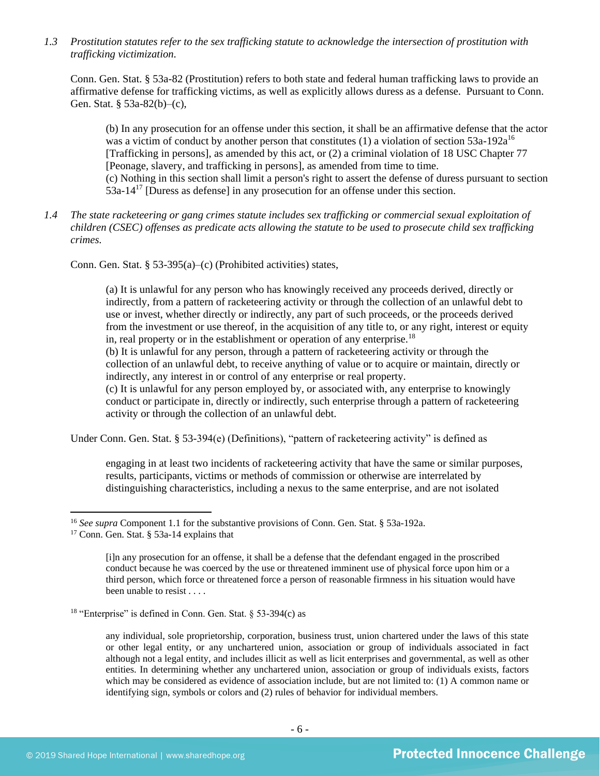*1.3 Prostitution statutes refer to the sex trafficking statute to acknowledge the intersection of prostitution with trafficking victimization.* 

Conn. Gen. Stat. § 53a-82 (Prostitution) refers to both state and federal human trafficking laws to provide an affirmative defense for trafficking victims, as well as explicitly allows duress as a defense. Pursuant to Conn. Gen. Stat. § 53a-82(b)–(c),

(b) In any prosecution for an offense under this section, it shall be an affirmative defense that the actor was a victim of conduct by another person that constitutes  $(1)$  a violation of section 53a-192a<sup>16</sup> [Trafficking in persons], as amended by this act, or (2) a criminal violation of 18 USC Chapter 77 [Peonage, slavery, and trafficking in persons], as amended from time to time. (c) Nothing in this section shall limit a person's right to assert the defense of duress pursuant to section 53a-14<sup>17</sup> [Duress as defense] in any prosecution for an offense under this section.

*1.4 The state racketeering or gang crimes statute includes sex trafficking or commercial sexual exploitation of children (CSEC) offenses as predicate acts allowing the statute to be used to prosecute child sex trafficking crimes.* 

Conn. Gen. Stat. § 53-395(a)–(c) (Prohibited activities) states,

(a) It is unlawful for any person who has knowingly received any proceeds derived, directly or indirectly, from a pattern of racketeering activity or through the collection of an unlawful debt to use or invest, whether directly or indirectly, any part of such proceeds, or the proceeds derived from the investment or use thereof, in the acquisition of any title to, or any right, interest or equity in, real property or in the establishment or operation of any enterprise.<sup>18</sup>

(b) It is unlawful for any person, through a pattern of racketeering activity or through the collection of an unlawful debt, to receive anything of value or to acquire or maintain, directly or indirectly, any interest in or control of any enterprise or real property.

(c) It is unlawful for any person employed by, or associated with, any enterprise to knowingly conduct or participate in, directly or indirectly, such enterprise through a pattern of racketeering activity or through the collection of an unlawful debt.

Under Conn. Gen. Stat. § 53-394(e) (Definitions), "pattern of racketeering activity" is defined as

engaging in at least two incidents of racketeering activity that have the same or similar purposes, results, participants, victims or methods of commission or otherwise are interrelated by distinguishing characteristics, including a nexus to the same enterprise, and are not isolated

<sup>16</sup> *See supra* Component 1.1 for the substantive provisions of Conn. Gen. Stat. § 53a-192a.

<sup>17</sup> Conn. Gen. Stat. § 53a-14 explains that

<sup>[</sup>i]n any prosecution for an offense, it shall be a defense that the defendant engaged in the proscribed conduct because he was coerced by the use or threatened imminent use of physical force upon him or a third person, which force or threatened force a person of reasonable firmness in his situation would have been unable to resist . . . .

<sup>&</sup>lt;sup>18</sup> "Enterprise" is defined in Conn. Gen. Stat.  $\S$  53-394(c) as

any individual, sole proprietorship, corporation, business trust, union chartered under the laws of this state or other legal entity, or any unchartered union, association or group of individuals associated in fact although not a legal entity, and includes illicit as well as licit enterprises and governmental, as well as other entities. In determining whether any unchartered union, association or group of individuals exists, factors which may be considered as evidence of association include, but are not limited to: (1) A common name or identifying sign, symbols or colors and (2) rules of behavior for individual members.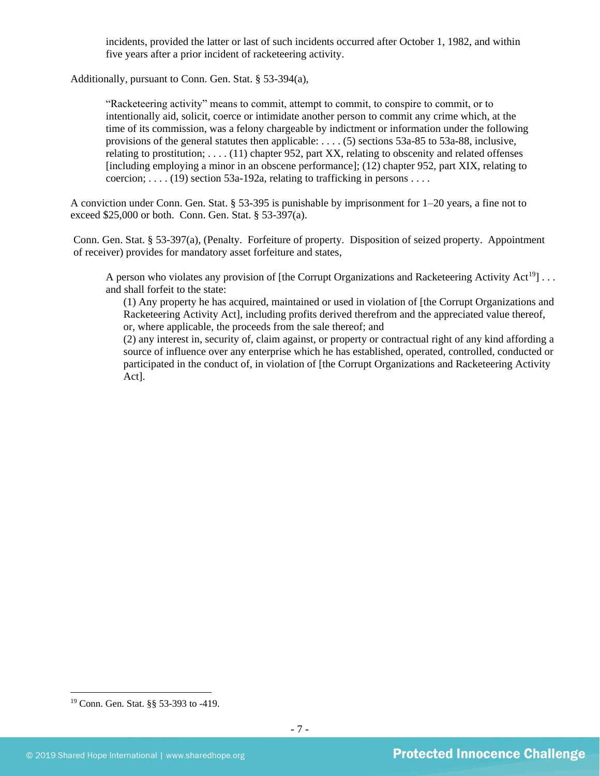incidents, provided the latter or last of such incidents occurred after October 1, 1982, and within five years after a prior incident of racketeering activity.

Additionally, pursuant to Conn. Gen. Stat. § 53-394(a),

"Racketeering activity" means to commit, attempt to commit, to conspire to commit, or to intentionally aid, solicit, coerce or intimidate another person to commit any crime which, at the time of its commission, was a felony chargeable by indictment or information under the following provisions of the general statutes then applicable: . . . . (5) sections 53a-85 to 53a-88, inclusive, relating to prostitution; . . . . (11) chapter 952, part XX, relating to obscenity and related offenses [including employing a minor in an obscene performance]; (12) chapter 952, part XIX, relating to coercion;  $\dots$  (19) section 53a-192a, relating to trafficking in persons  $\dots$ 

A conviction under Conn. Gen. Stat. § 53-395 is punishable by imprisonment for 1–20 years, a fine not to exceed \$25,000 or both. Conn. Gen. Stat. § 53-397(a).

Conn. Gen. Stat. § 53-397(a), (Penalty. Forfeiture of property. Disposition of seized property. Appointment of receiver) provides for mandatory asset forfeiture and states,

A person who violates any provision of [the Corrupt Organizations and Racketeering Activity Act<sup>19</sup>]... and shall forfeit to the state:

(1) Any property he has acquired, maintained or used in violation of [the Corrupt Organizations and Racketeering Activity Act], including profits derived therefrom and the appreciated value thereof, or, where applicable, the proceeds from the sale thereof; and

(2) any interest in, security of, claim against, or property or contractual right of any kind affording a source of influence over any enterprise which he has established, operated, controlled, conducted or participated in the conduct of, in violation of [the Corrupt Organizations and Racketeering Activity Act].

<sup>19</sup> Conn. Gen. Stat. §§ 53-393 to -419.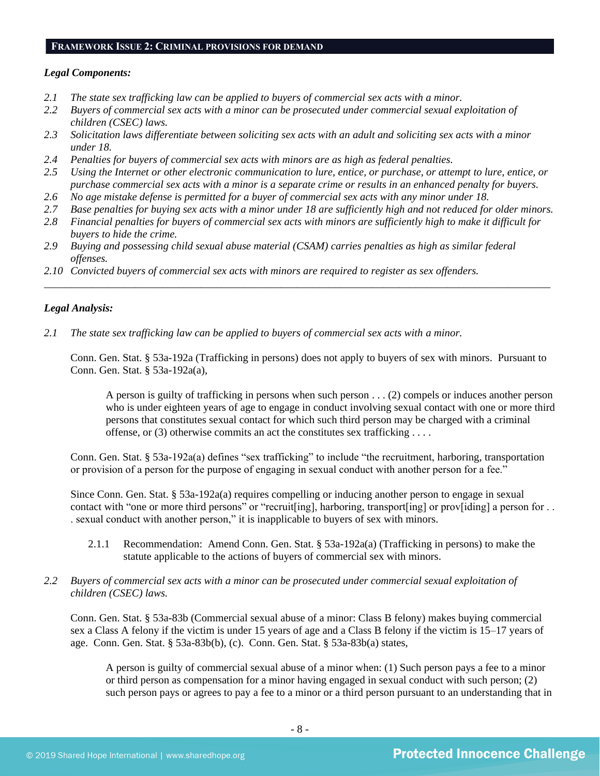#### **FRAMEWORK ISSUE 2: CRIMINAL PROVISIONS FOR DEMAND**

## *Legal Components:*

- *2.1 The state sex trafficking law can be applied to buyers of commercial sex acts with a minor.*
- *2.2 Buyers of commercial sex acts with a minor can be prosecuted under commercial sexual exploitation of children (CSEC) laws.*
- *2.3 Solicitation laws differentiate between soliciting sex acts with an adult and soliciting sex acts with a minor under 18.*
- *2.4 Penalties for buyers of commercial sex acts with minors are as high as federal penalties.*
- *2.5 Using the Internet or other electronic communication to lure, entice, or purchase, or attempt to lure, entice, or purchase commercial sex acts with a minor is a separate crime or results in an enhanced penalty for buyers.*
- *2.6 No age mistake defense is permitted for a buyer of commercial sex acts with any minor under 18.*
- *2.7 Base penalties for buying sex acts with a minor under 18 are sufficiently high and not reduced for older minors.*
- *2.8 Financial penalties for buyers of commercial sex acts with minors are sufficiently high to make it difficult for buyers to hide the crime.*

\_\_\_\_\_\_\_\_\_\_\_\_\_\_\_\_\_\_\_\_\_\_\_\_\_\_\_\_\_\_\_\_\_\_\_\_\_\_\_\_\_\_\_\_\_\_\_\_\_\_\_\_\_\_\_\_\_\_\_\_\_\_\_\_\_\_\_\_\_\_\_\_\_\_\_\_\_\_\_\_\_\_\_\_\_\_\_\_\_\_\_\_\_\_

- *2.9 Buying and possessing child sexual abuse material (CSAM) carries penalties as high as similar federal offenses.*
- *2.10 Convicted buyers of commercial sex acts with minors are required to register as sex offenders.*

## *Legal Analysis:*

*2.1 The state sex trafficking law can be applied to buyers of commercial sex acts with a minor.*

Conn. Gen. Stat. § 53a-192a (Trafficking in persons) does not apply to buyers of sex with minors. Pursuant to Conn. Gen. Stat. § 53a-192a(a),

A person is guilty of trafficking in persons when such person . . . (2) compels or induces another person who is under eighteen years of age to engage in conduct involving sexual contact with one or more third persons that constitutes sexual contact for which such third person may be charged with a criminal offense, or (3) otherwise commits an act the constitutes sex trafficking . . . .

Conn. Gen. Stat. § 53a-192a(a) defines "sex trafficking" to include "the recruitment, harboring, transportation or provision of a person for the purpose of engaging in sexual conduct with another person for a fee."

Since Conn. Gen. Stat. § 53a-192a(a) requires compelling or inducing another person to engage in sexual contact with "one or more third persons" or "recruit[ing], harboring, transport[ing] or prov[iding] a person for . . . sexual conduct with another person," it is inapplicable to buyers of sex with minors.

2.1.1 Recommendation: Amend Conn. Gen. Stat. § 53a-192a(a) (Trafficking in persons) to make the statute applicable to the actions of buyers of commercial sex with minors.

## *2.2 Buyers of commercial sex acts with a minor can be prosecuted under commercial sexual exploitation of children (CSEC) laws.*

Conn. Gen. Stat. § 53a-83b (Commercial sexual abuse of a minor: Class B felony) makes buying commercial sex a Class A felony if the victim is under 15 years of age and a Class B felony if the victim is 15–17 years of age. Conn. Gen. Stat. § 53a-83b(b), (c). Conn. Gen. Stat. § 53a-83b(a) states,

A person is guilty of commercial sexual abuse of a minor when: (1) Such person pays a fee to a minor or third person as compensation for a minor having engaged in sexual conduct with such person; (2) such person pays or agrees to pay a fee to a minor or a third person pursuant to an understanding that in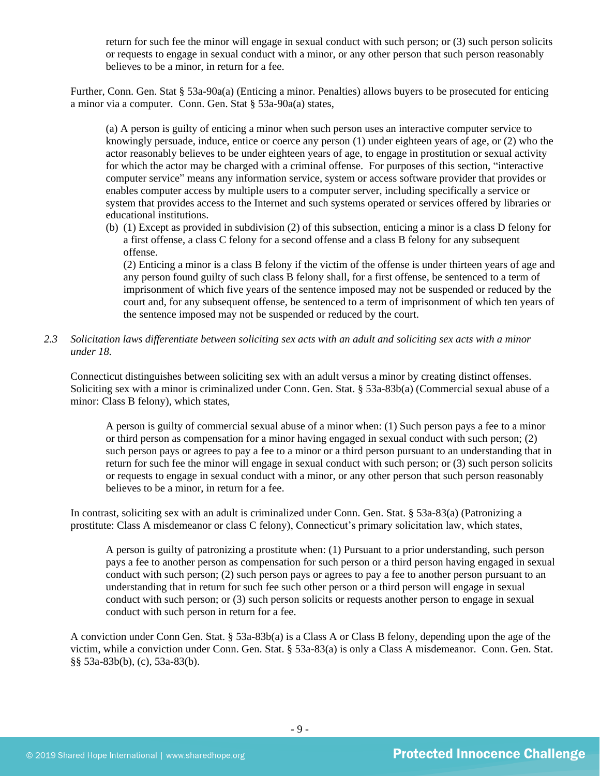return for such fee the minor will engage in sexual conduct with such person; or (3) such person solicits or requests to engage in sexual conduct with a minor, or any other person that such person reasonably believes to be a minor, in return for a fee.

Further, Conn. Gen. Stat § 53a-90a(a) (Enticing a minor. Penalties) allows buyers to be prosecuted for enticing a minor via a computer. Conn. Gen. Stat § 53a-90a(a) states,

(a) A person is guilty of enticing a minor when such person uses an interactive computer service to knowingly persuade, induce, entice or coerce any person (1) under eighteen years of age, or (2) who the actor reasonably believes to be under eighteen years of age, to engage in prostitution or sexual activity for which the actor may be charged with a criminal offense. For purposes of this section, "interactive computer service" means any information service, system or access software provider that provides or enables computer access by multiple users to a computer server, including specifically a service or system that provides access to the Internet and such systems operated or services offered by libraries or educational institutions.

(b) (1) Except as provided in subdivision (2) of this subsection, enticing a minor is a class D felony for a first offense, a class C felony for a second offense and a class B felony for any subsequent offense.

(2) Enticing a minor is a class B felony if the victim of the offense is under thirteen years of age and any person found guilty of such class B felony shall, for a first offense, be sentenced to a term of imprisonment of which five years of the sentence imposed may not be suspended or reduced by the court and, for any subsequent offense, be sentenced to a term of imprisonment of which ten years of the sentence imposed may not be suspended or reduced by the court.

*2.3 Solicitation laws differentiate between soliciting sex acts with an adult and soliciting sex acts with a minor under 18.*

Connecticut distinguishes between soliciting sex with an adult versus a minor by creating distinct offenses. Soliciting sex with a minor is criminalized under Conn. Gen. Stat. § 53a-83b(a) (Commercial sexual abuse of a minor: Class B felony), which states,

A person is guilty of commercial sexual abuse of a minor when: (1) Such person pays a fee to a minor or third person as compensation for a minor having engaged in sexual conduct with such person; (2) such person pays or agrees to pay a fee to a minor or a third person pursuant to an understanding that in return for such fee the minor will engage in sexual conduct with such person; or (3) such person solicits or requests to engage in sexual conduct with a minor, or any other person that such person reasonably believes to be a minor, in return for a fee.

In contrast, soliciting sex with an adult is criminalized under Conn. Gen. Stat. § 53a-83(a) (Patronizing a prostitute: Class A misdemeanor or class C felony), Connecticut's primary solicitation law, which states,

A person is guilty of patronizing a prostitute when: (1) Pursuant to a prior understanding, such person pays a fee to another person as compensation for such person or a third person having engaged in sexual conduct with such person; (2) such person pays or agrees to pay a fee to another person pursuant to an understanding that in return for such fee such other person or a third person will engage in sexual conduct with such person; or (3) such person solicits or requests another person to engage in sexual conduct with such person in return for a fee.

A conviction under Conn Gen. Stat. § 53a-83b(a) is a Class A or Class B felony, depending upon the age of the victim, while a conviction under Conn. Gen. Stat. § 53a-83(a) is only a Class A misdemeanor. Conn. Gen. Stat. §§ 53a-83b(b), (c), 53a-83(b).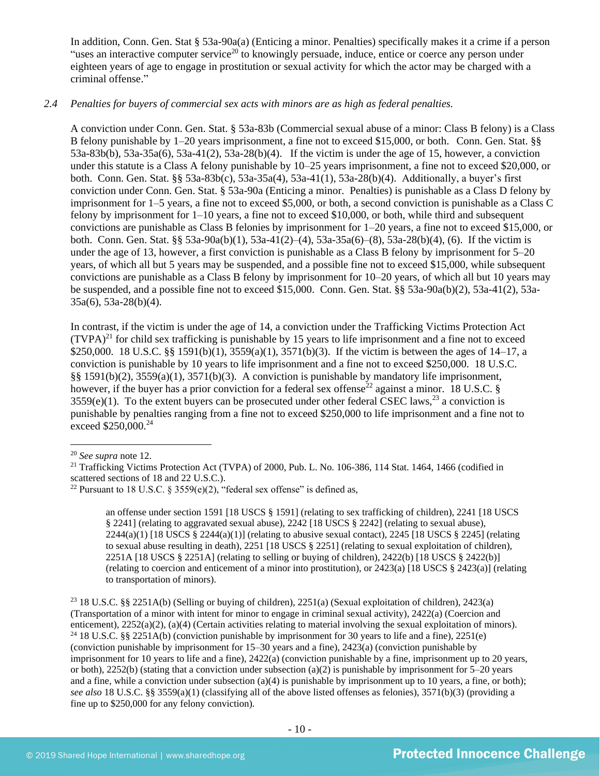In addition, Conn. Gen. Stat § 53a-90a(a) (Enticing a minor. Penalties) specifically makes it a crime if a person "uses an interactive computer service<sup>20</sup> to knowingly persuade, induce, entice or coerce any person under eighteen years of age to engage in prostitution or sexual activity for which the actor may be charged with a criminal offense."

## *2.4 Penalties for buyers of commercial sex acts with minors are as high as federal penalties.*

A conviction under Conn. Gen. Stat. § 53a-83b (Commercial sexual abuse of a minor: Class B felony) is a Class B felony punishable by 1–20 years imprisonment, a fine not to exceed \$15,000, or both. Conn. Gen. Stat. §§ 53a-83b(b), 53a-35a(6), 53a-41(2), 53a-28(b)(4). If the victim is under the age of 15, however, a conviction under this statute is a Class A felony punishable by 10–25 years imprisonment, a fine not to exceed \$20,000, or both. Conn. Gen. Stat. §§ 53a-83b(c), 53a-35a(4), 53a-41(1), 53a-28(b)(4). Additionally, a buyer's first conviction under Conn. Gen. Stat. § 53a-90a (Enticing a minor. Penalties) is punishable as a Class D felony by imprisonment for 1–5 years, a fine not to exceed \$5,000, or both, a second conviction is punishable as a Class C felony by imprisonment for 1–10 years, a fine not to exceed \$10,000, or both, while third and subsequent convictions are punishable as Class B felonies by imprisonment for 1–20 years, a fine not to exceed \$15,000, or both. Conn. Gen. Stat. §§ 53a-90a(b)(1), 53a-41(2)–(4), 53a-35a(6)–(8), 53a-28(b)(4), (6). If the victim is under the age of 13, however, a first conviction is punishable as a Class B felony by imprisonment for 5–20 years, of which all but 5 years may be suspended, and a possible fine not to exceed \$15,000, while subsequent convictions are punishable as a Class B felony by imprisonment for 10–20 years, of which all but 10 years may be suspended, and a possible fine not to exceed \$15,000. Conn. Gen. Stat. §§ 53a-90a(b)(2), 53a-41(2), 53a-35a(6), 53a-28(b)(4).

In contrast, if the victim is under the age of 14, a conviction under the Trafficking Victims Protection Act  $(TVPA)^{21}$  for child sex trafficking is punishable by 15 years to life imprisonment and a fine not to exceed \$250,000. 18 U.S.C. §§ 1591(b)(1), 3559(a)(1), 3571(b)(3). If the victim is between the ages of 14–17, a conviction is punishable by 10 years to life imprisonment and a fine not to exceed \$250,000. 18 U.S.C. §§ 1591(b)(2), 3559(a)(1), 3571(b)(3). A conviction is punishable by mandatory life imprisonment, however, if the buyer has a prior conviction for a federal sex offense<sup>22</sup> against a minor. 18 U.S.C. §  $3559(e)(1)$ . To the extent buyers can be prosecuted under other federal CSEC laws,<sup>23</sup> a conviction is punishable by penalties ranging from a fine not to exceed \$250,000 to life imprisonment and a fine not to exceed \$250,000.<sup>24</sup>

<sup>20</sup> *See supra* note [12.](#page-2-0) 

<span id="page-9-0"></span>an offense under section 1591 [18 USCS § 1591] (relating to sex trafficking of children), 2241 [18 USCS § 2241] (relating to aggravated sexual abuse), 2242 [18 USCS § 2242] (relating to sexual abuse),  $2244(a)(1)$  [18 USCS §  $2244(a)(1)$ ] (relating to abusive sexual contact),  $2245$  [18 USCS § 2245] (relating to sexual abuse resulting in death), 2251 [18 USCS § 2251] (relating to sexual exploitation of children), 2251A [18 USCS § 2251A] (relating to selling or buying of children), 2422(b) [18 USCS § 2422(b)] (relating to coercion and enticement of a minor into prostitution), or 2423(a) [18 USCS § 2423(a)] (relating to transportation of minors).

<sup>23</sup> 18 U.S.C. §§ 2251A(b) (Selling or buying of children), 2251(a) (Sexual exploitation of children), 2423(a) (Transportation of a minor with intent for minor to engage in criminal sexual activity), 2422(a) (Coercion and enticement), 2252(a)(2), (a)(4) (Certain activities relating to material involving the sexual exploitation of minors). <sup>24</sup> 18 U.S.C. §§ 2251A(b) (conviction punishable by imprisonment for 30 years to life and a fine), 2251(e) (conviction punishable by imprisonment for 15–30 years and a fine), 2423(a) (conviction punishable by imprisonment for 10 years to life and a fine), 2422(a) (conviction punishable by a fine, imprisonment up to 20 years, or both), 2252(b) (stating that a conviction under subsection (a)(2) is punishable by imprisonment for  $5-20$  years and a fine, while a conviction under subsection (a)(4) is punishable by imprisonment up to 10 years, a fine, or both); *see also* 18 U.S.C. §§ 3559(a)(1) (classifying all of the above listed offenses as felonies), 3571(b)(3) (providing a fine up to \$250,000 for any felony conviction).

<sup>&</sup>lt;sup>21</sup> Trafficking Victims Protection Act (TVPA) of 2000, Pub. L. No. 106-386, 114 Stat. 1464, 1466 (codified in scattered sections of 18 and 22 U.S.C.).

<sup>&</sup>lt;sup>22</sup> Pursuant to 18 U.S.C. § 3559(e)(2), "federal sex offense" is defined as,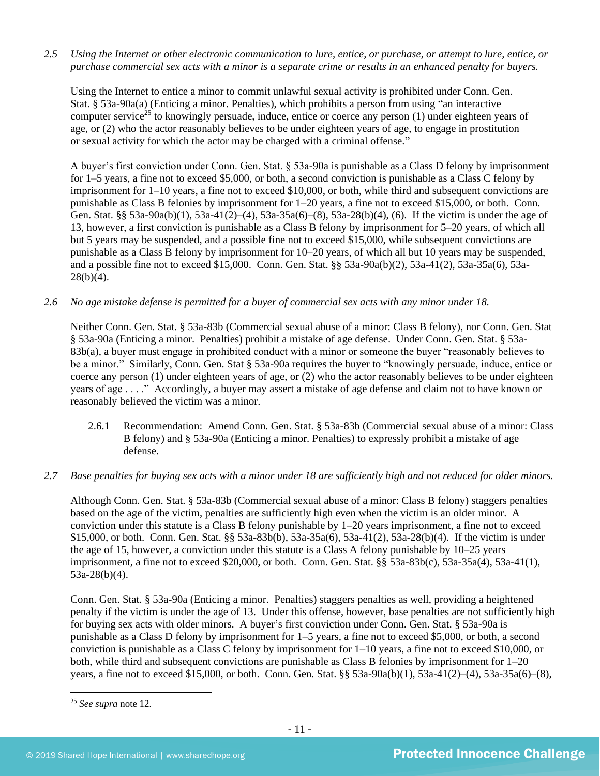*2.5 Using the Internet or other electronic communication to lure, entice, or purchase, or attempt to lure, entice, or purchase commercial sex acts with a minor is a separate crime or results in an enhanced penalty for buyers.*

Using the Internet to entice a minor to commit unlawful sexual activity is prohibited under Conn. Gen. Stat. § 53a-90a(a) (Enticing a minor. Penalties), which prohibits a person from using "an interactive computer service<sup>25</sup> to knowingly persuade, induce, entice or coerce any person  $(1)$  under eighteen years of age, or (2) who the actor reasonably believes to be under eighteen years of age, to engage in prostitution or sexual activity for which the actor may be charged with a criminal offense."

A buyer's first conviction under Conn. Gen. Stat. § 53a-90a is punishable as a Class D felony by imprisonment for 1–5 years, a fine not to exceed \$5,000, or both, a second conviction is punishable as a Class C felony by imprisonment for 1–10 years, a fine not to exceed \$10,000, or both, while third and subsequent convictions are punishable as Class B felonies by imprisonment for 1–20 years, a fine not to exceed \$15,000, or both. Conn. Gen. Stat. §§ 53a-90a(b)(1), 53a-41(2)–(4), 53a-35a(6)–(8), 53a-28(b)(4), (6). If the victim is under the age of 13, however, a first conviction is punishable as a Class B felony by imprisonment for 5–20 years, of which all but 5 years may be suspended, and a possible fine not to exceed \$15,000, while subsequent convictions are punishable as a Class B felony by imprisonment for 10–20 years, of which all but 10 years may be suspended, and a possible fine not to exceed \$15,000. Conn. Gen. Stat. §§ 53a-90a(b)(2), 53a-41(2), 53a-35a(6), 53a- $28(b)(4)$ .

*2.6 No age mistake defense is permitted for a buyer of commercial sex acts with any minor under 18.*

Neither Conn. Gen. Stat. § 53a-83b (Commercial sexual abuse of a minor: Class B felony), nor Conn. Gen. Stat § 53a-90a (Enticing a minor. Penalties) prohibit a mistake of age defense. Under Conn. Gen. Stat. § 53a-83b(a), a buyer must engage in prohibited conduct with a minor or someone the buyer "reasonably believes to be a minor." Similarly, Conn. Gen. Stat § 53a-90a requires the buyer to "knowingly persuade, induce, entice or coerce any person (1) under eighteen years of age, or (2) who the actor reasonably believes to be under eighteen years of age . . . ." Accordingly, a buyer may assert a mistake of age defense and claim not to have known or reasonably believed the victim was a minor.

- 2.6.1 Recommendation: Amend Conn. Gen. Stat. § 53a-83b (Commercial sexual abuse of a minor: Class B felony) and § 53a-90a (Enticing a minor. Penalties) to expressly prohibit a mistake of age defense.
- *2.7 Base penalties for buying sex acts with a minor under 18 are sufficiently high and not reduced for older minors.*

Although Conn. Gen. Stat. § 53a-83b (Commercial sexual abuse of a minor: Class B felony) staggers penalties based on the age of the victim, penalties are sufficiently high even when the victim is an older minor. A conviction under this statute is a Class B felony punishable by 1–20 years imprisonment, a fine not to exceed \$15,000, or both. Conn. Gen. Stat. §§ 53a-83b(b), 53a-35a(6), 53a-41(2), 53a-28(b)(4). If the victim is under the age of 15, however, a conviction under this statute is a Class A felony punishable by 10–25 years imprisonment, a fine not to exceed \$20,000, or both. Conn. Gen. Stat. §§ 53a-83b(c), 53a-35a(4), 53a-41(1), 53a-28(b)(4).

Conn. Gen. Stat. § 53a-90a (Enticing a minor. Penalties) staggers penalties as well, providing a heightened penalty if the victim is under the age of 13. Under this offense, however, base penalties are not sufficiently high for buying sex acts with older minors. A buyer's first conviction under Conn. Gen. Stat. § 53a-90a is punishable as a Class D felony by imprisonment for 1–5 years, a fine not to exceed \$5,000, or both, a second conviction is punishable as a Class C felony by imprisonment for 1–10 years, a fine not to exceed \$10,000, or both, while third and subsequent convictions are punishable as Class B felonies by imprisonment for 1–20 years, a fine not to exceed \$15,000, or both. Conn. Gen. Stat. §§ 53a-90a(b)(1), 53a-41(2)–(4), 53a-35a(6)–(8),

<sup>25</sup> *See supra* note [12.](#page-2-0)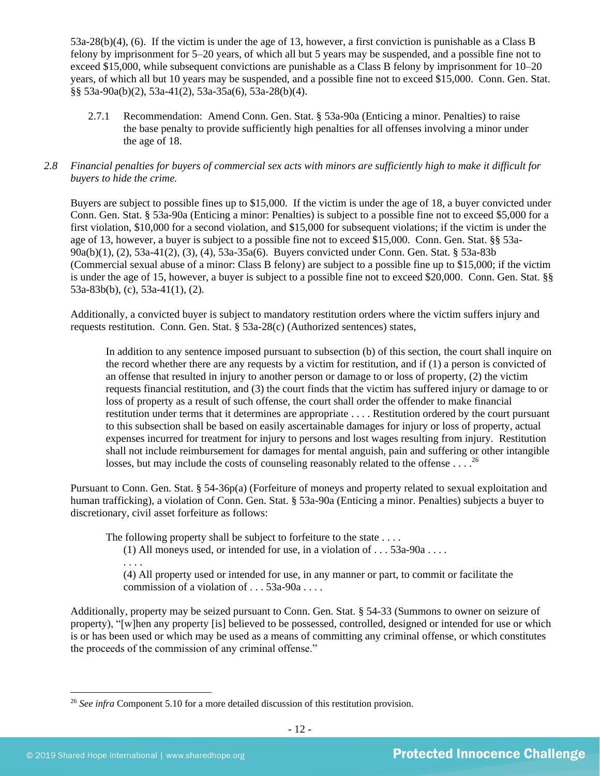53a-28(b)(4), (6). If the victim is under the age of 13, however, a first conviction is punishable as a Class B felony by imprisonment for 5–20 years, of which all but 5 years may be suspended, and a possible fine not to exceed \$15,000, while subsequent convictions are punishable as a Class B felony by imprisonment for 10–20 years, of which all but 10 years may be suspended, and a possible fine not to exceed \$15,000. Conn. Gen. Stat. §§ 53a-90a(b)(2), 53a-41(2), 53a-35a(6), 53a-28(b)(4).

2.7.1 Recommendation: Amend Conn. Gen. Stat. § 53a-90a (Enticing a minor. Penalties) to raise the base penalty to provide sufficiently high penalties for all offenses involving a minor under the age of 18.

## *2.8 Financial penalties for buyers of commercial sex acts with minors are sufficiently high to make it difficult for buyers to hide the crime.*

Buyers are subject to possible fines up to \$15,000. If the victim is under the age of 18, a buyer convicted under Conn. Gen. Stat. § 53a-90a (Enticing a minor: Penalties) is subject to a possible fine not to exceed \$5,000 for a first violation, \$10,000 for a second violation, and \$15,000 for subsequent violations; if the victim is under the age of 13, however, a buyer is subject to a possible fine not to exceed \$15,000. Conn. Gen. Stat. §§ 53a-90a(b)(1), (2), 53a-41(2), (3), (4), 53a-35a(6). Buyers convicted under Conn. Gen. Stat. § 53a-83b (Commercial sexual abuse of a minor: Class B felony) are subject to a possible fine up to \$15,000; if the victim is under the age of 15, however, a buyer is subject to a possible fine not to exceed \$20,000. Conn. Gen. Stat. §§ 53a-83b(b), (c), 53a-41(1), (2).

Additionally, a convicted buyer is subject to mandatory restitution orders where the victim suffers injury and requests restitution. Conn. Gen. Stat. § 53a-28(c) (Authorized sentences) states,

In addition to any sentence imposed pursuant to subsection (b) of this section, the court shall inquire on the record whether there are any requests by a victim for restitution, and if (1) a person is convicted of an offense that resulted in injury to another person or damage to or loss of property, (2) the victim requests financial restitution, and (3) the court finds that the victim has suffered injury or damage to or loss of property as a result of such offense, the court shall order the offender to make financial restitution under terms that it determines are appropriate . . . . Restitution ordered by the court pursuant to this subsection shall be based on easily ascertainable damages for injury or loss of property, actual expenses incurred for treatment for injury to persons and lost wages resulting from injury. Restitution shall not include reimbursement for damages for mental anguish, pain and suffering or other intangible losses, but may include the costs of counseling reasonably related to the offense  $\dots$ .<sup>26</sup>

Pursuant to Conn. Gen. Stat. § 54-36p(a) (Forfeiture of moneys and property related to sexual exploitation and human trafficking), a violation of Conn. Gen. Stat. § 53a-90a (Enticing a minor. Penalties) subjects a buyer to discretionary, civil asset forfeiture as follows:

The following property shall be subject to forfeiture to the state ....

(1) All moneys used, or intended for use, in a violation of  $\dots$  53a-90a  $\dots$ . . . . .

(4) All property used or intended for use, in any manner or part, to commit or facilitate the commission of a violation of . . . 53a-90a . . . .

Additionally, property may be seized pursuant to Conn. Gen. Stat. § 54-33 (Summons to owner on seizure of property), "[w]hen any property [is] believed to be possessed, controlled, designed or intended for use or which is or has been used or which may be used as a means of committing any criminal offense, or which constitutes the proceeds of the commission of any criminal offense."

<sup>26</sup> *See infra* Component 5.10 for a more detailed discussion of this restitution provision.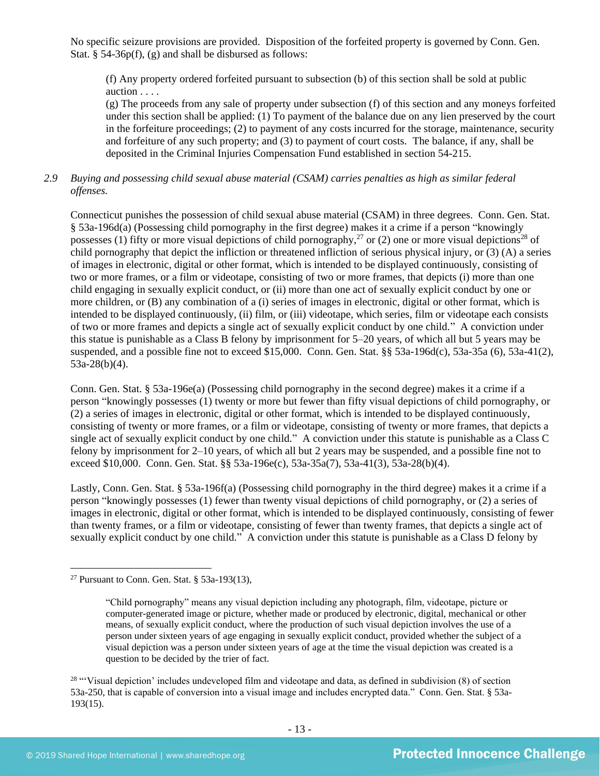No specific seizure provisions are provided. Disposition of the forfeited property is governed by Conn. Gen. Stat. § 54-36p(f), (g) and shall be disbursed as follows:

(f) Any property ordered forfeited pursuant to subsection (b) of this section shall be sold at public auction . . . .

(g) The proceeds from any sale of property under subsection (f) of this section and any moneys forfeited under this section shall be applied: (1) To payment of the balance due on any lien preserved by the court in the forfeiture proceedings; (2) to payment of any costs incurred for the storage, maintenance, security and forfeiture of any such property; and (3) to payment of court costs. The balance, if any, shall be deposited in the Criminal Injuries Compensation Fund established in section 54-215.

## *2.9 Buying and possessing child sexual abuse material (CSAM) carries penalties as high as similar federal offenses.*

Connecticut punishes the possession of child sexual abuse material (CSAM) in three degrees. Conn. Gen. Stat. § 53a-196d(a) (Possessing child pornography in the first degree) makes it a crime if a person "knowingly possesses (1) fifty or more visual depictions of child pornography,<sup>27</sup> or (2) one or more visual depictions<sup>28</sup> of child pornography that depict the infliction or threatened infliction of serious physical injury, or (3) (A) a series of images in electronic, digital or other format, which is intended to be displayed continuously, consisting of two or more frames, or a film or videotape, consisting of two or more frames, that depicts (i) more than one child engaging in sexually explicit conduct, or (ii) more than one act of sexually explicit conduct by one or more children, or (B) any combination of a (i) series of images in electronic, digital or other format, which is intended to be displayed continuously, (ii) film, or (iii) videotape, which series, film or videotape each consists of two or more frames and depicts a single act of sexually explicit conduct by one child." A conviction under this statue is punishable as a Class B felony by imprisonment for 5–20 years, of which all but 5 years may be suspended, and a possible fine not to exceed \$15,000. Conn. Gen. Stat. §§ 53a-196d(c), 53a-35a (6), 53a-41(2), 53a-28(b)(4).

Conn. Gen. Stat. § 53a-196e(a) (Possessing child pornography in the second degree) makes it a crime if a person "knowingly possesses (1) twenty or more but fewer than fifty visual depictions of child pornography, or (2) a series of images in electronic, digital or other format, which is intended to be displayed continuously, consisting of twenty or more frames, or a film or videotape, consisting of twenty or more frames, that depicts a single act of sexually explicit conduct by one child." A conviction under this statute is punishable as a Class C felony by imprisonment for 2–10 years, of which all but 2 years may be suspended, and a possible fine not to exceed \$10,000. Conn. Gen. Stat. §§ 53a-196e(c), 53a-35a(7), 53a-41(3), 53a-28(b)(4).

Lastly, Conn. Gen. Stat. § 53a-196f(a) (Possessing child pornography in the third degree) makes it a crime if a person "knowingly possesses (1) fewer than twenty visual depictions of child pornography, or (2) a series of images in electronic, digital or other format, which is intended to be displayed continuously, consisting of fewer than twenty frames, or a film or videotape, consisting of fewer than twenty frames, that depicts a single act of sexually explicit conduct by one child." A conviction under this statute is punishable as a Class D felony by

 $28$  "Visual depiction' includes undeveloped film and videotape and data, as defined in subdivision  $(8)$  of section 53a-250, that is capable of conversion into a visual image and includes encrypted data." Conn. Gen. Stat. § 53a-193(15).

<sup>&</sup>lt;sup>27</sup> Pursuant to Conn. Gen. Stat.  $§$  53a-193(13),

<sup>&</sup>quot;Child pornography" means any visual depiction including any photograph, film, videotape, picture or computer-generated image or picture, whether made or produced by electronic, digital, mechanical or other means, of sexually explicit conduct, where the production of such visual depiction involves the use of a person under sixteen years of age engaging in sexually explicit conduct, provided whether the subject of a visual depiction was a person under sixteen years of age at the time the visual depiction was created is a question to be decided by the trier of fact.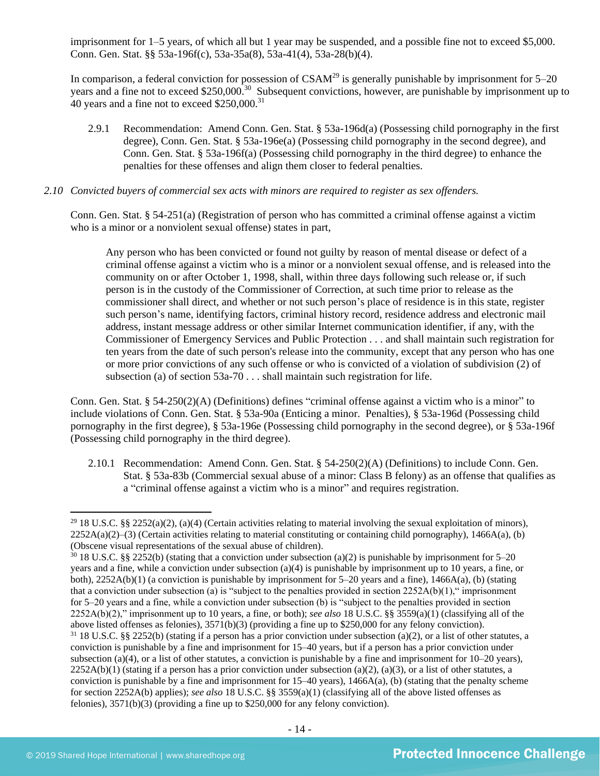imprisonment for 1–5 years, of which all but 1 year may be suspended, and a possible fine not to exceed \$5,000. Conn. Gen. Stat. §§ 53a-196f(c), 53a-35a(8), 53a-41(4), 53a-28(b)(4).

In comparison, a federal conviction for possession of  $CSAM<sup>29</sup>$  is generally punishable by imprisonment for  $5-20$ years and a fine not to exceed \$250,000.<sup>30</sup> Subsequent convictions, however, are punishable by imprisonment up to 40 years and a fine not to exceed \$250,000.<sup>31</sup>

2.9.1 Recommendation: Amend Conn. Gen. Stat. § 53a-196d(a) (Possessing child pornography in the first degree), Conn. Gen. Stat. § 53a-196e(a) (Possessing child pornography in the second degree), and Conn. Gen. Stat. § 53a-196f(a) (Possessing child pornography in the third degree) to enhance the penalties for these offenses and align them closer to federal penalties.

#### *2.10 Convicted buyers of commercial sex acts with minors are required to register as sex offenders.*

Conn. Gen. Stat. § 54-251(a) (Registration of person who has committed a criminal offense against a victim who is a minor or a nonviolent sexual offense) states in part,

Any person who has been convicted or found not guilty by reason of mental disease or defect of a criminal offense against a victim who is a minor or a nonviolent sexual offense, and is released into the community on or after October 1, 1998, shall, within three days following such release or, if such person is in the custody of the Commissioner of Correction, at such time prior to release as the commissioner shall direct, and whether or not such person's place of residence is in this state, register such person's name, identifying factors, criminal history record, residence address and electronic mail address, instant message address or other similar Internet communication identifier, if any, with the Commissioner of Emergency Services and Public Protection . . . and shall maintain such registration for ten years from the date of such person's release into the community, except that any person who has one or more prior convictions of any such offense or who is convicted of a violation of subdivision (2) of subsection (a) of section 53a-70 . . . shall maintain such registration for life.

Conn. Gen. Stat. § 54-250(2)(A) (Definitions) defines "criminal offense against a victim who is a minor" to include violations of Conn. Gen. Stat. § 53a-90a (Enticing a minor. Penalties), § 53a-196d (Possessing child pornography in the first degree), § 53a-196e (Possessing child pornography in the second degree), or § 53a-196f (Possessing child pornography in the third degree).

2.10.1 Recommendation: Amend Conn. Gen. Stat. § 54-250(2)(A) (Definitions) to include Conn. Gen. Stat. § 53a-83b (Commercial sexual abuse of a minor: Class B felony) as an offense that qualifies as a "criminal offense against a victim who is a minor" and requires registration.

<sup>&</sup>lt;sup>29</sup> 18 U.S.C. §§ 2252(a)(2), (a)(4) (Certain activities relating to material involving the sexual exploitation of minors),  $2252A(a)(2)$ –(3) (Certain activities relating to material constituting or containing child pornography), 1466A(a), (b) (Obscene visual representations of the sexual abuse of children).

 $30\,18$  U.S.C. §§ 2252(b) (stating that a conviction under subsection (a)(2) is punishable by imprisonment for 5–20 years and a fine, while a conviction under subsection (a)(4) is punishable by imprisonment up to 10 years, a fine, or both), 2252A(b)(1) (a conviction is punishable by imprisonment for 5–20 years and a fine), 1466A(a), (b) (stating that a conviction under subsection (a) is "subject to the penalties provided in section  $2252A(b)(1)$ ," imprisonment for 5–20 years and a fine, while a conviction under subsection (b) is "subject to the penalties provided in section 2252A(b)(2)," imprisonment up to 10 years, a fine, or both); *see also* 18 U.S.C. §§ 3559(a)(1) (classifying all of the above listed offenses as felonies), 3571(b)(3) (providing a fine up to \$250,000 for any felony conviction).  $31$  18 U.S.C. §§ 2252(b) (stating if a person has a prior conviction under subsection (a)(2), or a list of other statutes, a

conviction is punishable by a fine and imprisonment for 15–40 years, but if a person has a prior conviction under subsection (a)(4), or a list of other statutes, a conviction is punishable by a fine and imprisonment for  $10-20$  years),  $2252A(b)(1)$  (stating if a person has a prior conviction under subsection (a)(2), (a)(3), or a list of other statutes, a conviction is punishable by a fine and imprisonment for  $15-40$  years),  $1466A(a)$ , (b) (stating that the penalty scheme for section 2252A(b) applies); *see also* 18 U.S.C. §§ 3559(a)(1) (classifying all of the above listed offenses as felonies), 3571(b)(3) (providing a fine up to \$250,000 for any felony conviction).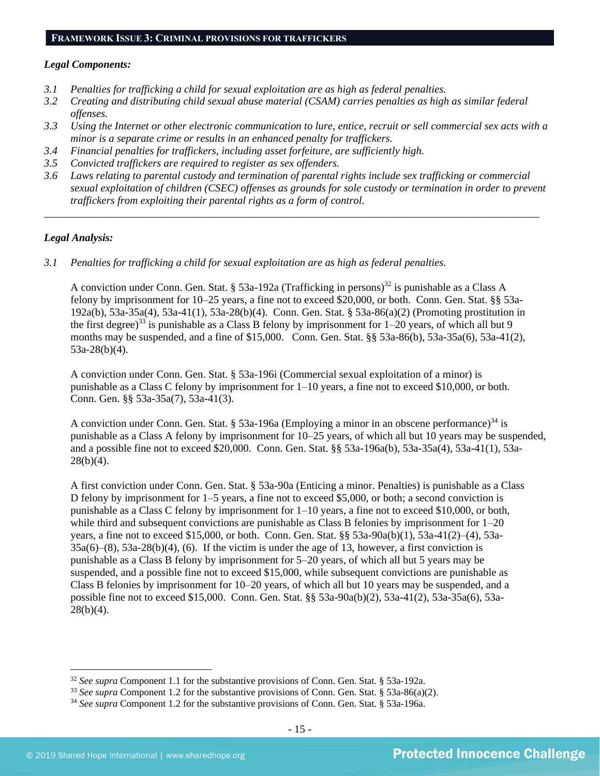#### **FRAMEWORK ISSUE 3: CRIMINAL PROVISIONS FOR TRAFFICKERS**

#### *Legal Components:*

- *3.1 Penalties for trafficking a child for sexual exploitation are as high as federal penalties.*
- *3.2 Creating and distributing child sexual abuse material (CSAM) carries penalties as high as similar federal offenses.*
- *3.3 Using the Internet or other electronic communication to lure, entice, recruit or sell commercial sex acts with a minor is a separate crime or results in an enhanced penalty for traffickers.*
- *3.4 Financial penalties for traffickers, including asset forfeiture, are sufficiently high.*
- *3.5 Convicted traffickers are required to register as sex offenders.*
- *3.6 Laws relating to parental custody and termination of parental rights include sex trafficking or commercial sexual exploitation of children (CSEC) offenses as grounds for sole custody or termination in order to prevent traffickers from exploiting their parental rights as a form of control.*

*\_\_\_\_\_\_\_\_\_\_\_\_\_\_\_\_\_\_\_\_\_\_\_\_\_\_\_\_\_\_\_\_\_\_\_\_\_\_\_\_\_\_\_\_\_\_\_\_\_\_\_\_\_\_\_\_\_\_\_\_\_\_\_\_\_\_\_\_\_\_\_\_\_\_\_\_\_\_\_\_\_\_\_\_\_\_\_\_\_\_\_\_*

## *Legal Analysis:*

*3.1 Penalties for trafficking a child for sexual exploitation are as high as federal penalties.* 

A conviction under Conn. Gen. Stat. § 53a-192a (Trafficking in persons)<sup>32</sup> is punishable as a Class A felony by imprisonment for 10–25 years, a fine not to exceed \$20,000, or both. Conn. Gen. Stat. §§ 53a-192a(b), 53a-35a(4), 53a-41(1), 53a-28(b)(4). Conn. Gen. Stat. § 53a-86(a)(2) (Promoting prostitution in the first degree)<sup>33</sup> is punishable as a Class B felony by imprisonment for  $1-20$  years, of which all but 9 months may be suspended, and a fine of \$15,000. Conn. Gen. Stat. §§ 53a-86(b), 53a-35a(6), 53a-41(2), 53a-28(b)(4).

A conviction under Conn. Gen. Stat. § 53a-196i (Commercial sexual exploitation of a minor) is punishable as a Class C felony by imprisonment for 1–10 years, a fine not to exceed \$10,000, or both. Conn. Gen. §§ 53a-35a(7), 53a-41(3).

A conviction under Conn. Gen. Stat. § 53a-196a (Employing a minor in an obscene performance)<sup>34</sup> is punishable as a Class A felony by imprisonment for 10–25 years, of which all but 10 years may be suspended, and a possible fine not to exceed \$20,000. Conn. Gen. Stat. §§ 53a-196a(b), 53a-35a(4), 53a-41(1), 53a- $28(b)(4)$ .

A first conviction under Conn. Gen. Stat. § 53a-90a (Enticing a minor. Penalties) is punishable as a Class D felony by imprisonment for 1–5 years, a fine not to exceed \$5,000, or both; a second conviction is punishable as a Class C felony by imprisonment for 1–10 years, a fine not to exceed \$10,000, or both, while third and subsequent convictions are punishable as Class B felonies by imprisonment for  $1-20$ years, a fine not to exceed \$15,000, or both. Conn. Gen. Stat. §§ 53a-90a(b)(1), 53a-41(2)–(4), 53a- $35a(6)$ – $(8)$ ,  $53a-28(b)(4)$ ,  $(6)$ . If the victim is under the age of 13, however, a first conviction is punishable as a Class B felony by imprisonment for 5–20 years, of which all but 5 years may be suspended, and a possible fine not to exceed \$15,000, while subsequent convictions are punishable as Class B felonies by imprisonment for 10–20 years, of which all but 10 years may be suspended, and a possible fine not to exceed \$15,000. Conn. Gen. Stat. §§ 53a-90a(b)(2), 53a-41(2), 53a-35a(6), 53a-28(b)(4).

<sup>32</sup> *See supra* Component 1.1 for the substantive provisions of Conn. Gen. Stat. § 53a-192a.

<sup>33</sup> *See supra* Component 1.2 for the substantive provisions of Conn. Gen. Stat. § 53a-86(a)(2).

<sup>34</sup> *See supra* Component 1.2 for the substantive provisions of Conn. Gen. Stat. § 53a-196a.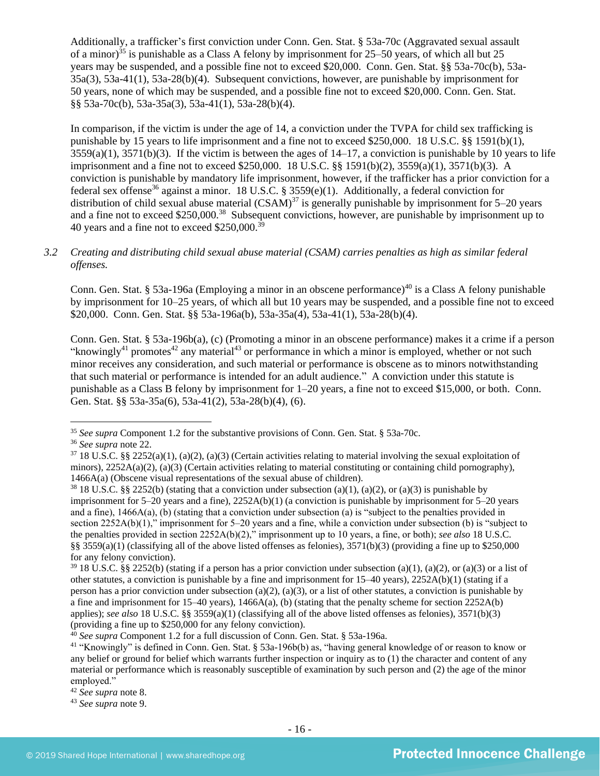Additionally, a trafficker's first conviction under Conn. Gen. Stat. § 53a-70c (Aggravated sexual assault of a minor)<sup>35</sup> is punishable as a Class A felony by imprisonment for  $25-50$  years, of which all but  $25$ years may be suspended, and a possible fine not to exceed \$20,000. Conn. Gen. Stat. §§ 53a-70c(b), 53a-35a(3), 53a-41(1), 53a-28(b)(4). Subsequent convictions, however, are punishable by imprisonment for 50 years, none of which may be suspended, and a possible fine not to exceed \$20,000. Conn. Gen. Stat. §§ 53a-70c(b), 53a-35a(3), 53a-41(1), 53a-28(b)(4).

In comparison, if the victim is under the age of 14, a conviction under the TVPA for child sex trafficking is punishable by 15 years to life imprisonment and a fine not to exceed \$250,000. 18 U.S.C. §§ 1591(b)(1),  $3559(a)(1)$ ,  $3571(b)(3)$ . If the victim is between the ages of  $14-17$ , a conviction is punishable by 10 years to life imprisonment and a fine not to exceed \$250,000. 18 U.S.C. §§ 1591(b)(2), 3559(a)(1), 3571(b)(3). A conviction is punishable by mandatory life imprisonment, however, if the trafficker has a prior conviction for a federal sex offense<sup>36</sup> against a minor. 18 U.S.C. § 3559(e)(1). Additionally, a federal conviction for distribution of child sexual abuse material  $(CSAM)^{37}$  is generally punishable by imprisonment for 5–20 years and a fine not to exceed \$250,000.<sup>38</sup> Subsequent convictions, however, are punishable by imprisonment up to 40 years and a fine not to exceed  $$250,000.<sup>39</sup>$ 

### *3.2 Creating and distributing child sexual abuse material (CSAM) carries penalties as high as similar federal offenses.*

Conn. Gen. Stat. § 53a-196a (Employing a minor in an obscene performance)<sup>40</sup> is a Class A felony punishable by imprisonment for 10–25 years, of which all but 10 years may be suspended, and a possible fine not to exceed \$20,000. Conn. Gen. Stat. §§ 53a-196a(b), 53a-35a(4), 53a-41(1), 53a-28(b)(4).

<span id="page-15-0"></span>Conn. Gen. Stat. § 53a-196b(a), (c) (Promoting a minor in an obscene performance) makes it a crime if a person "knowingly<sup>41</sup> promotes<sup>42</sup> any material<sup>43</sup> or performance in which a minor is employed, whether or not such minor receives any consideration, and such material or performance is obscene as to minors notwithstanding that such material or performance is intended for an adult audience." A conviction under this statute is punishable as a Class B felony by imprisonment for 1–20 years, a fine not to exceed \$15,000, or both. Conn. Gen. Stat. §§ 53a-35a(6), 53a-41(2), 53a-28(b)(4), (6).

<sup>35</sup> *See supra* Component 1.2 for the substantive provisions of Conn. Gen. Stat. § 53a-70c.

<sup>36</sup> *See supra* note [22.](#page-9-0)

 $37\,18$  U.S.C. §§ 2252(a)(1), (a)(2), (a)(3) (Certain activities relating to material involving the sexual exploitation of minors),  $2252A(a)(2)$ ,  $(a)(3)$  (Certain activities relating to material constituting or containing child pornography), 1466A(a) (Obscene visual representations of the sexual abuse of children).

<sup>&</sup>lt;sup>38</sup> 18 U.S.C. §§ 2252(b) (stating that a conviction under subsection (a)(1), (a)(2), or (a)(3) is punishable by imprisonment for 5–20 years and a fine), 2252A(b)(1) (a conviction is punishable by imprisonment for 5–20 years and a fine), 1466A(a), (b) (stating that a conviction under subsection (a) is "subject to the penalties provided in section 2252A(b)(1)," imprisonment for 5–20 years and a fine, while a conviction under subsection (b) is "subject to the penalties provided in section 2252A(b)(2)," imprisonment up to 10 years, a fine, or both); *see also* 18 U.S.C. §§ 3559(a)(1) (classifying all of the above listed offenses as felonies),  $3571(b)(3)$  (providing a fine up to \$250,000 for any felony conviction).

 $39\,18$  U.S.C. §§ 2252(b) (stating if a person has a prior conviction under subsection (a)(1), (a)(2), or (a)(3) or a list of other statutes, a conviction is punishable by a fine and imprisonment for 15–40 years), 2252A(b)(1) (stating if a person has a prior conviction under subsection (a)(2), (a)(3), or a list of other statutes, a conviction is punishable by a fine and imprisonment for  $15-40$  years),  $1466A(a)$ , (b) (stating that the penalty scheme for section  $2252A(b)$ applies); *see also* 18 U.S.C. §§ 3559(a)(1) (classifying all of the above listed offenses as felonies), 3571(b)(3) (providing a fine up to \$250,000 for any felony conviction).

<sup>40</sup> *See supra* Component 1.2 for a full discussion of Conn. Gen. Stat. § 53a-196a.

<sup>41</sup> "Knowingly" is defined in Conn. Gen. Stat. § 53a-196b(b) as, "having general knowledge of or reason to know or any belief or ground for belief which warrants further inspection or inquiry as to (1) the character and content of any material or performance which is reasonably susceptible of examination by such person and (2) the age of the minor employed."

<sup>42</sup> *See supra* note [8.](#page-1-0) 

<sup>43</sup> *See supra* note [9.](#page-1-1)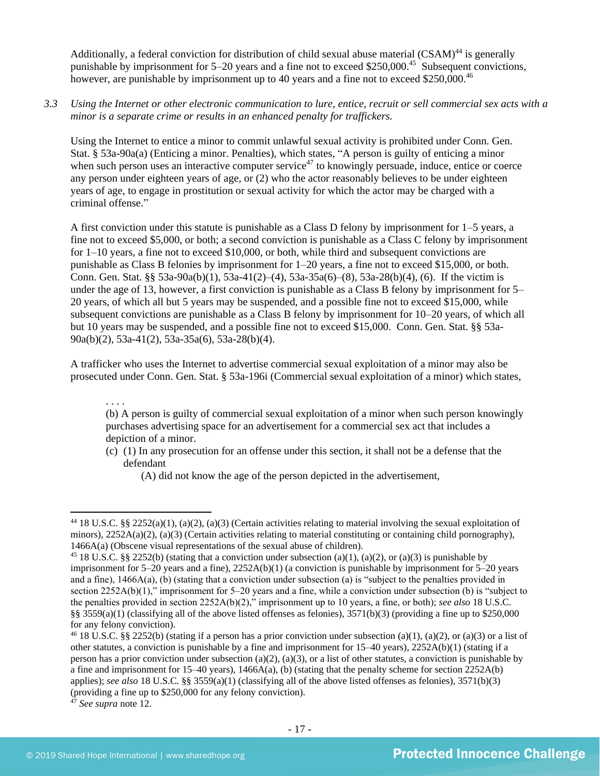Additionally, a federal conviction for distribution of child sexual abuse material  $(CSAM)^{44}$  is generally punishable by imprisonment for 5–20 years and a fine not to exceed \$250,000.<sup>45</sup> Subsequent convictions, however, are punishable by imprisonment up to 40 years and a fine not to exceed \$250,000.<sup>46</sup>

*3.3 Using the Internet or other electronic communication to lure, entice, recruit or sell commercial sex acts with a minor is a separate crime or results in an enhanced penalty for traffickers.*

Using the Internet to entice a minor to commit unlawful sexual activity is prohibited under Conn. Gen. Stat. § 53a-90a(a) (Enticing a minor. Penalties), which states, "A person is guilty of enticing a minor when such person uses an interactive computer service<sup>47</sup> to knowingly persuade, induce, entice or coerce any person under eighteen years of age, or (2) who the actor reasonably believes to be under eighteen years of age, to engage in prostitution or sexual activity for which the actor may be charged with a criminal offense."

A first conviction under this statute is punishable as a Class D felony by imprisonment for 1–5 years, a fine not to exceed \$5,000, or both; a second conviction is punishable as a Class C felony by imprisonment for 1–10 years, a fine not to exceed \$10,000, or both, while third and subsequent convictions are punishable as Class B felonies by imprisonment for 1–20 years, a fine not to exceed \$15,000, or both. Conn. Gen. Stat. §§ 53a-90a(b)(1), 53a-41(2)–(4), 53a-35a(6)–(8), 53a-28(b)(4), (6). If the victim is under the age of 13, however, a first conviction is punishable as a Class B felony by imprisonment for 5– 20 years, of which all but 5 years may be suspended, and a possible fine not to exceed \$15,000, while subsequent convictions are punishable as a Class B felony by imprisonment for 10–20 years, of which all but 10 years may be suspended, and a possible fine not to exceed \$15,000. Conn. Gen. Stat. §§ 53a-90a(b)(2), 53a-41(2), 53a-35a(6), 53a-28(b)(4).

A trafficker who uses the Internet to advertise commercial sexual exploitation of a minor may also be prosecuted under Conn. Gen. Stat. § 53a-196i (Commercial sexual exploitation of a minor) which states,

. . . .

(b) A person is guilty of commercial sexual exploitation of a minor when such person knowingly purchases advertising space for an advertisement for a commercial sex act that includes a depiction of a minor.

- (c) (1) In any prosecution for an offense under this section, it shall not be a defense that the defendant
	- (A) did not know the age of the person depicted in the advertisement,

<sup>&</sup>lt;sup>44</sup> 18 U.S.C. §§ 2252(a)(1), (a)(2), (a)(3) (Certain activities relating to material involving the sexual exploitation of minors),  $2252A(a)(2)$ ,  $(a)(3)$  (Certain activities relating to material constituting or containing child pornography), 1466A(a) (Obscene visual representations of the sexual abuse of children).

<sup>&</sup>lt;sup>45</sup> 18 U.S.C. §§ 2252(b) (stating that a conviction under subsection (a)(1), (a)(2), or (a)(3) is punishable by imprisonment for 5–20 years and a fine), 2252A(b)(1) (a conviction is punishable by imprisonment for 5–20 years and a fine), 1466A(a), (b) (stating that a conviction under subsection (a) is "subject to the penalties provided in section 2252A(b)(1)," imprisonment for 5–20 years and a fine, while a conviction under subsection (b) is "subject to the penalties provided in section 2252A(b)(2)," imprisonment up to 10 years, a fine, or both); *see also* 18 U.S.C. §§ 3559(a)(1) (classifying all of the above listed offenses as felonies),  $3571(b)(3)$  (providing a fine up to \$250,000 for any felony conviction).

<sup>&</sup>lt;sup>46</sup> 18 U.S.C. §§ 2252(b) (stating if a person has a prior conviction under subsection (a)(1), (a)(2), or (a)(3) or a list of other statutes, a conviction is punishable by a fine and imprisonment for 15–40 years), 2252A(b)(1) (stating if a person has a prior conviction under subsection (a)(2), (a)(3), or a list of other statutes, a conviction is punishable by a fine and imprisonment for 15–40 years),  $1466A(a)$ , (b) (stating that the penalty scheme for section 2252A(b) applies); *see also* 18 U.S.C. §§ 3559(a)(1) (classifying all of the above listed offenses as felonies), 3571(b)(3) (providing a fine up to \$250,000 for any felony conviction).

<sup>47</sup> *See supra* note [12.](#page-2-0)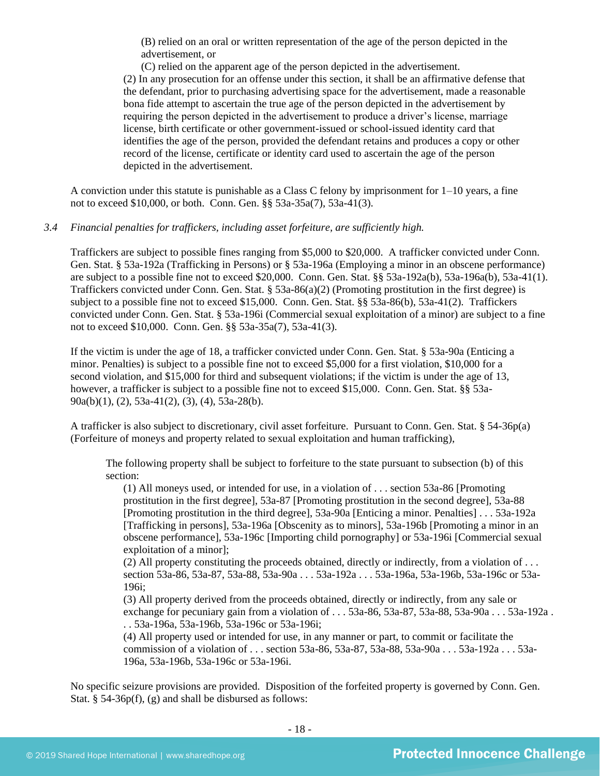(B) relied on an oral or written representation of the age of the person depicted in the advertisement, or

(C) relied on the apparent age of the person depicted in the advertisement. (2) In any prosecution for an offense under this section, it shall be an affirmative defense that the defendant, prior to purchasing advertising space for the advertisement, made a reasonable bona fide attempt to ascertain the true age of the person depicted in the advertisement by requiring the person depicted in the advertisement to produce a driver's license, marriage license, birth certificate or other government-issued or school-issued identity card that identifies the age of the person, provided the defendant retains and produces a copy or other record of the license, certificate or identity card used to ascertain the age of the person depicted in the advertisement.

A conviction under this statute is punishable as a Class C felony by imprisonment for 1–10 years, a fine not to exceed \$10,000, or both. Conn. Gen. §§ 53a-35a(7), 53a-41(3).

## *3.4 Financial penalties for traffickers, including asset forfeiture, are sufficiently high.*

Traffickers are subject to possible fines ranging from \$5,000 to \$20,000. A trafficker convicted under Conn. Gen. Stat. § 53a-192a (Trafficking in Persons) or § 53a-196a (Employing a minor in an obscene performance) are subject to a possible fine not to exceed \$20,000. Conn. Gen. Stat. §§ 53a-192a(b), 53a-196a(b), 53a-41(1). Traffickers convicted under Conn. Gen. Stat. § 53a-86(a)(2) (Promoting prostitution in the first degree) is subject to a possible fine not to exceed \$15,000. Conn. Gen. Stat. §§ 53a-86(b), 53a-41(2). Traffickers convicted under Conn. Gen. Stat. § 53a-196i (Commercial sexual exploitation of a minor) are subject to a fine not to exceed \$10,000. Conn. Gen. §§ 53a-35a(7), 53a-41(3).

If the victim is under the age of 18, a trafficker convicted under Conn. Gen. Stat. § 53a-90a (Enticing a minor. Penalties) is subject to a possible fine not to exceed \$5,000 for a first violation, \$10,000 for a second violation, and \$15,000 for third and subsequent violations; if the victim is under the age of 13, however, a trafficker is subject to a possible fine not to exceed \$15,000. Conn. Gen. Stat. §§ 53a-90a(b)(1), (2), 53a-41(2), (3), (4), 53a-28(b).

A trafficker is also subject to discretionary, civil asset forfeiture. Pursuant to Conn. Gen. Stat. § 54-36p(a) (Forfeiture of moneys and property related to sexual exploitation and human trafficking),

The following property shall be subject to forfeiture to the state pursuant to subsection (b) of this section:

(1) All moneys used, or intended for use, in a violation of . . . section 53a-86 [Promoting prostitution in the first degree], 53a-87 [Promoting prostitution in the second degree], 53a-88 [Promoting prostitution in the third degree], 53a-90a [Enticing a minor. Penalties] . . . 53a-192a [Trafficking in persons], 53a-196a [Obscenity as to minors], 53a-196b [Promoting a minor in an obscene performance], 53a-196c [Importing child pornography] or 53a-196i [Commercial sexual exploitation of a minor];

(2) All property constituting the proceeds obtained, directly or indirectly, from a violation of . . . section 53a-86, 53a-87, 53a-88, 53a-90a . . . 53a-192a . . . 53a-196a, 53a-196b, 53a-196c or 53a-196i;

(3) All property derived from the proceeds obtained, directly or indirectly, from any sale or exchange for pecuniary gain from a violation of . . . 53a-86, 53a-87, 53a-88, 53a-90a . . . 53a-192a . . . 53a-196a, 53a-196b, 53a-196c or 53a-196i;

(4) All property used or intended for use, in any manner or part, to commit or facilitate the commission of a violation of . . . section 53a-86, 53a-87, 53a-88, 53a-90a . . . 53a-192a . . . 53a-196a, 53a-196b, 53a-196c or 53a-196i.

No specific seizure provisions are provided. Disposition of the forfeited property is governed by Conn. Gen. Stat. § 54-36p(f), (g) and shall be disbursed as follows: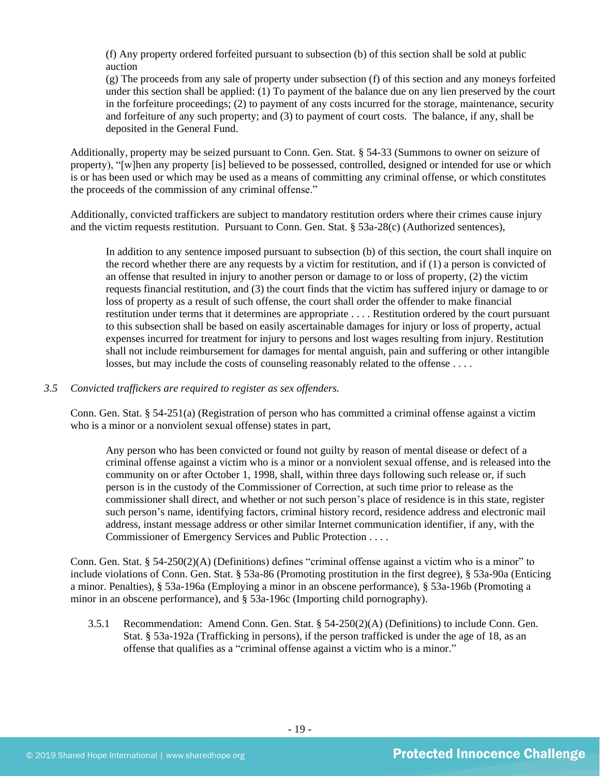(f) Any property ordered forfeited pursuant to subsection (b) of this section shall be sold at public auction

(g) The proceeds from any sale of property under subsection (f) of this section and any moneys forfeited under this section shall be applied: (1) To payment of the balance due on any lien preserved by the court in the forfeiture proceedings; (2) to payment of any costs incurred for the storage, maintenance, security and forfeiture of any such property; and (3) to payment of court costs. The balance, if any, shall be deposited in the General Fund.

Additionally, property may be seized pursuant to Conn. Gen. Stat. § 54-33 (Summons to owner on seizure of property), "[w]hen any property [is] believed to be possessed, controlled, designed or intended for use or which is or has been used or which may be used as a means of committing any criminal offense, or which constitutes the proceeds of the commission of any criminal offense."

Additionally, convicted traffickers are subject to mandatory restitution orders where their crimes cause injury and the victim requests restitution. Pursuant to Conn. Gen. Stat. § 53a-28(c) (Authorized sentences),

In addition to any sentence imposed pursuant to subsection (b) of this section, the court shall inquire on the record whether there are any requests by a victim for restitution, and if (1) a person is convicted of an offense that resulted in injury to another person or damage to or loss of property, (2) the victim requests financial restitution, and (3) the court finds that the victim has suffered injury or damage to or loss of property as a result of such offense, the court shall order the offender to make financial restitution under terms that it determines are appropriate . . . . Restitution ordered by the court pursuant to this subsection shall be based on easily ascertainable damages for injury or loss of property, actual expenses incurred for treatment for injury to persons and lost wages resulting from injury. Restitution shall not include reimbursement for damages for mental anguish, pain and suffering or other intangible losses, but may include the costs of counseling reasonably related to the offense ....

#### *3.5 Convicted traffickers are required to register as sex offenders.*

Conn. Gen. Stat. § 54-251(a) (Registration of person who has committed a criminal offense against a victim who is a minor or a nonviolent sexual offense) states in part,

Any person who has been convicted or found not guilty by reason of mental disease or defect of a criminal offense against a victim who is a minor or a nonviolent sexual offense, and is released into the community on or after October 1, 1998, shall, within three days following such release or, if such person is in the custody of the Commissioner of Correction, at such time prior to release as the commissioner shall direct, and whether or not such person's place of residence is in this state, register such person's name, identifying factors, criminal history record, residence address and electronic mail address, instant message address or other similar Internet communication identifier, if any, with the Commissioner of Emergency Services and Public Protection . . . .

Conn. Gen. Stat. § 54-250(2)(A) (Definitions) defines "criminal offense against a victim who is a minor" to include violations of Conn. Gen. Stat. § 53a-86 (Promoting prostitution in the first degree), § 53a-90a (Enticing a minor. Penalties), § 53a-196a (Employing a minor in an obscene performance), § 53a-196b (Promoting a minor in an obscene performance), and § 53a-196c (Importing child pornography).

3.5.1 Recommendation: Amend Conn. Gen. Stat. § 54-250(2)(A) (Definitions) to include Conn. Gen. Stat. § 53a-192a (Trafficking in persons), if the person trafficked is under the age of 18, as an offense that qualifies as a "criminal offense against a victim who is a minor."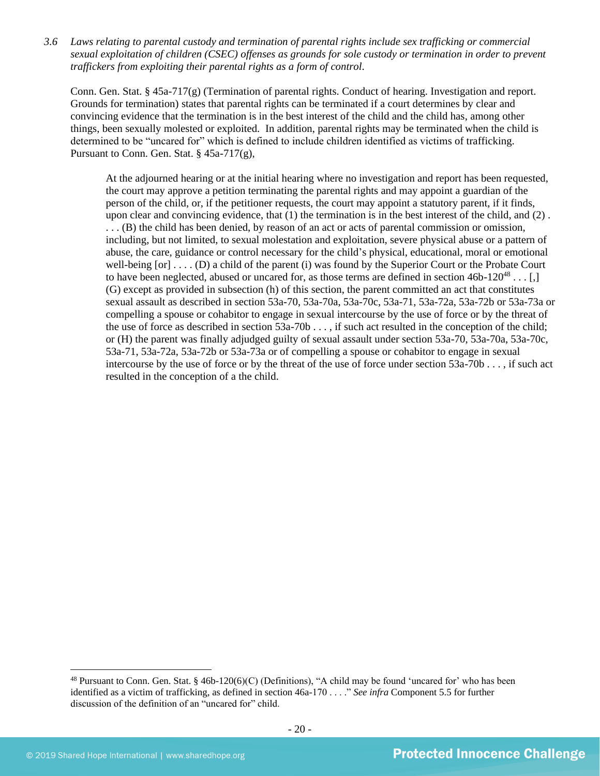*3.6 Laws relating to parental custody and termination of parental rights include sex trafficking or commercial sexual exploitation of children (CSEC) offenses as grounds for sole custody or termination in order to prevent traffickers from exploiting their parental rights as a form of control.* 

Conn. Gen. Stat. § 45a-717(g) (Termination of parental rights. Conduct of hearing. Investigation and report. Grounds for termination) states that parental rights can be terminated if a court determines by clear and convincing evidence that the termination is in the best interest of the child and the child has, among other things, been sexually molested or exploited. In addition, parental rights may be terminated when the child is determined to be "uncared for" which is defined to include children identified as victims of trafficking. Pursuant to Conn. Gen. Stat. § 45a-717(g),

<span id="page-19-0"></span>At the adjourned hearing or at the initial hearing where no investigation and report has been requested, the court may approve a petition terminating the parental rights and may appoint a guardian of the person of the child, or, if the petitioner requests, the court may appoint a statutory parent, if it finds, upon clear and convincing evidence, that (1) the termination is in the best interest of the child, and (2) . . . . (B) the child has been denied, by reason of an act or acts of parental commission or omission, including, but not limited, to sexual molestation and exploitation, severe physical abuse or a pattern of abuse, the care, guidance or control necessary for the child's physical, educational, moral or emotional well-being  $[or]$ ....  $(D)$  a child of the parent (i) was found by the Superior Court or the Probate Court to have been neglected, abused or uncared for, as those terms are defined in section  $46b-120^{48} \dots$  [1] (G) except as provided in subsection (h) of this section, the parent committed an act that constitutes sexual assault as described in section 53a-70, 53a-70a, 53a-70c, 53a-71, 53a-72a, 53a-72b or 53a-73a or compelling a spouse or cohabitor to engage in sexual intercourse by the use of force or by the threat of the use of force as described in section  $53a-70b...$ , if such act resulted in the conception of the child; or (H) the parent was finally adjudged guilty of sexual assault under section 53a-70, 53a-70a, 53a-70c, 53a-71, 53a-72a, 53a-72b or 53a-73a or of compelling a spouse or cohabitor to engage in sexual intercourse by the use of force or by the threat of the use of force under section 53a-70b . . . , if such act resulted in the conception of a the child.

<sup>&</sup>lt;sup>48</sup> Pursuant to Conn. Gen. Stat. § 46b-120(6)(C) (Definitions), "A child may be found 'uncared for' who has been identified as a victim of trafficking, as defined in section 46a-170 . . . ." *See infra* Component 5.5 for further discussion of the definition of an "uncared for" child.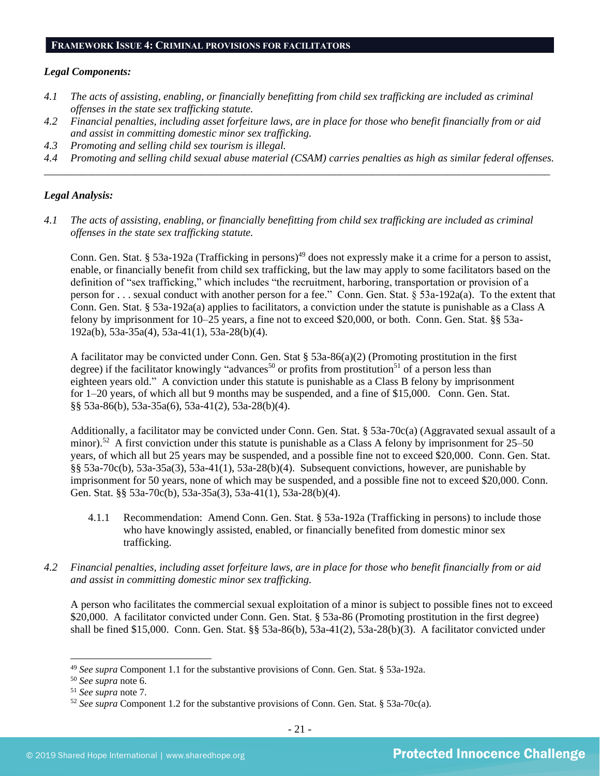#### **FRAMEWORK ISSUE 4: CRIMINAL PROVISIONS FOR FACILITATORS**

#### *Legal Components:*

- *4.1 The acts of assisting, enabling, or financially benefitting from child sex trafficking are included as criminal offenses in the state sex trafficking statute.*
- *4.2 Financial penalties, including asset forfeiture laws, are in place for those who benefit financially from or aid and assist in committing domestic minor sex trafficking.*
- *4.3 Promoting and selling child sex tourism is illegal.*
- *4.4 Promoting and selling child sexual abuse material (CSAM) carries penalties as high as similar federal offenses. \_\_\_\_\_\_\_\_\_\_\_\_\_\_\_\_\_\_\_\_\_\_\_\_\_\_\_\_\_\_\_\_\_\_\_\_\_\_\_\_\_\_\_\_\_\_\_\_\_\_\_\_\_\_\_\_\_\_\_\_\_\_\_\_\_\_\_\_\_\_\_\_\_\_\_\_\_\_\_\_\_\_\_\_\_\_\_\_\_\_\_\_\_\_*

## *Legal Analysis:*

*4.1 The acts of assisting, enabling, or financially benefitting from child sex trafficking are included as criminal offenses in the state sex trafficking statute.*

Conn. Gen. Stat. § 53a-192a (Trafficking in persons)<sup>49</sup> does not expressly make it a crime for a person to assist, enable, or financially benefit from child sex trafficking, but the law may apply to some facilitators based on the definition of "sex trafficking," which includes "the recruitment, harboring, transportation or provision of a person for . . . sexual conduct with another person for a fee." Conn. Gen. Stat. § 53a-192a(a). To the extent that Conn. Gen. Stat. § 53a-192a(a) applies to facilitators, a conviction under the statute is punishable as a Class A felony by imprisonment for 10–25 years, a fine not to exceed \$20,000, or both. Conn. Gen. Stat. §§ 53a-192a(b), 53a-35a(4), 53a-41(1), 53a-28(b)(4).

A facilitator may be convicted under Conn. Gen. Stat § 53a-86(a)(2) (Promoting prostitution in the first degree) if the facilitator knowingly "advances<sup>50</sup> or profits from prostitution<sup>51</sup> of a person less than eighteen years old." A conviction under this statute is punishable as a Class B felony by imprisonment for 1–20 years, of which all but 9 months may be suspended, and a fine of \$15,000. Conn. Gen. Stat. §§ 53a-86(b), 53a-35a(6), 53a-41(2), 53a-28(b)(4).

Additionally, a facilitator may be convicted under Conn. Gen. Stat. § 53a-70c(a) (Aggravated sexual assault of a minor).<sup>52</sup> A first conviction under this statute is punishable as a Class A felony by imprisonment for  $25-50$ years, of which all but 25 years may be suspended, and a possible fine not to exceed \$20,000. Conn. Gen. Stat. §§ 53a-70c(b), 53a-35a(3), 53a-41(1), 53a-28(b)(4). Subsequent convictions, however, are punishable by imprisonment for 50 years, none of which may be suspended, and a possible fine not to exceed \$20,000. Conn. Gen. Stat. §§ 53a-70c(b), 53a-35a(3), 53a-41(1), 53a-28(b)(4).

- 4.1.1 Recommendation: Amend Conn. Gen. Stat. § 53a-192a (Trafficking in persons) to include those who have knowingly assisted, enabled, or financially benefited from domestic minor sex trafficking.
- *4.2 Financial penalties, including asset forfeiture laws, are in place for those who benefit financially from or aid and assist in committing domestic minor sex trafficking.*

A person who facilitates the commercial sexual exploitation of a minor is subject to possible fines not to exceed \$20,000. A facilitator convicted under Conn. Gen. Stat. § 53a-86 (Promoting prostitution in the first degree) shall be fined \$15,000. Conn. Gen. Stat. §§ 53a-86(b), 53a-41(2), 53a-28(b)(3). A facilitator convicted under

<sup>49</sup> *See supra* Component 1.1 for the substantive provisions of Conn. Gen. Stat. § 53a-192a.

<sup>50</sup> *See supra* note [6.](#page-1-2)

<sup>51</sup> *See supra* note [7.](#page-1-3)

<sup>52</sup> *See supra* Component 1.2 for the substantive provisions of Conn. Gen. Stat. § 53a-70c(a).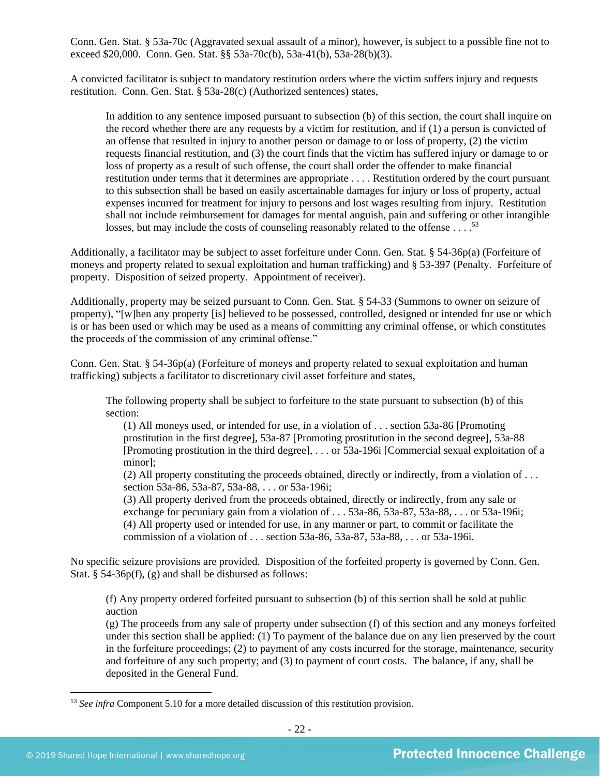Conn. Gen. Stat. § 53a-70c (Aggravated sexual assault of a minor), however, is subject to a possible fine not to exceed \$20,000. Conn. Gen. Stat. §§ 53a-70c(b), 53a-41(b), 53a-28(b)(3).

A convicted facilitator is subject to mandatory restitution orders where the victim suffers injury and requests restitution. Conn. Gen. Stat. § 53a-28(c) (Authorized sentences) states,

In addition to any sentence imposed pursuant to subsection (b) of this section, the court shall inquire on the record whether there are any requests by a victim for restitution, and if (1) a person is convicted of an offense that resulted in injury to another person or damage to or loss of property, (2) the victim requests financial restitution, and (3) the court finds that the victim has suffered injury or damage to or loss of property as a result of such offense, the court shall order the offender to make financial restitution under terms that it determines are appropriate . . . . Restitution ordered by the court pursuant to this subsection shall be based on easily ascertainable damages for injury or loss of property, actual expenses incurred for treatment for injury to persons and lost wages resulting from injury. Restitution shall not include reimbursement for damages for mental anguish, pain and suffering or other intangible losses, but may include the costs of counseling reasonably related to the offense . . . . . . 53

Additionally, a facilitator may be subject to asset forfeiture under Conn. Gen. Stat. § 54-36p(a) (Forfeiture of moneys and property related to sexual exploitation and human trafficking) and § 53-397 (Penalty. Forfeiture of property. Disposition of seized property. Appointment of receiver).

Additionally, property may be seized pursuant to Conn. Gen. Stat. § 54-33 (Summons to owner on seizure of property), "[w]hen any property [is] believed to be possessed, controlled, designed or intended for use or which is or has been used or which may be used as a means of committing any criminal offense, or which constitutes the proceeds of the commission of any criminal offense."

Conn. Gen. Stat. § 54-36p(a) (Forfeiture of moneys and property related to sexual exploitation and human trafficking) subjects a facilitator to discretionary civil asset forfeiture and states,

The following property shall be subject to forfeiture to the state pursuant to subsection (b) of this section:

(1) All moneys used, or intended for use, in a violation of . . . section 53a-86 [Promoting prostitution in the first degree], 53a-87 [Promoting prostitution in the second degree], 53a-88 [Promoting prostitution in the third degree], . . . or 53a-196i [Commercial sexual exploitation of a minor];

(2) All property constituting the proceeds obtained, directly or indirectly, from a violation of . . . section 53a-86, 53a-87, 53a-88, . . . or 53a-196i;

(3) All property derived from the proceeds obtained, directly or indirectly, from any sale or exchange for pecuniary gain from a violation of . . . 53a-86, 53a-87, 53a-88, . . . or 53a-196i; (4) All property used or intended for use, in any manner or part, to commit or facilitate the commission of a violation of . . . section 53a-86, 53a-87, 53a-88, . . . or 53a-196i.

No specific seizure provisions are provided. Disposition of the forfeited property is governed by Conn. Gen. Stat. § 54-36p(f), (g) and shall be disbursed as follows:

(f) Any property ordered forfeited pursuant to subsection (b) of this section shall be sold at public auction

(g) The proceeds from any sale of property under subsection (f) of this section and any moneys forfeited under this section shall be applied: (1) To payment of the balance due on any lien preserved by the court in the forfeiture proceedings; (2) to payment of any costs incurred for the storage, maintenance, security and forfeiture of any such property; and (3) to payment of court costs. The balance, if any, shall be deposited in the General Fund.

<sup>53</sup> *See infra* Component 5.10 for a more detailed discussion of this restitution provision.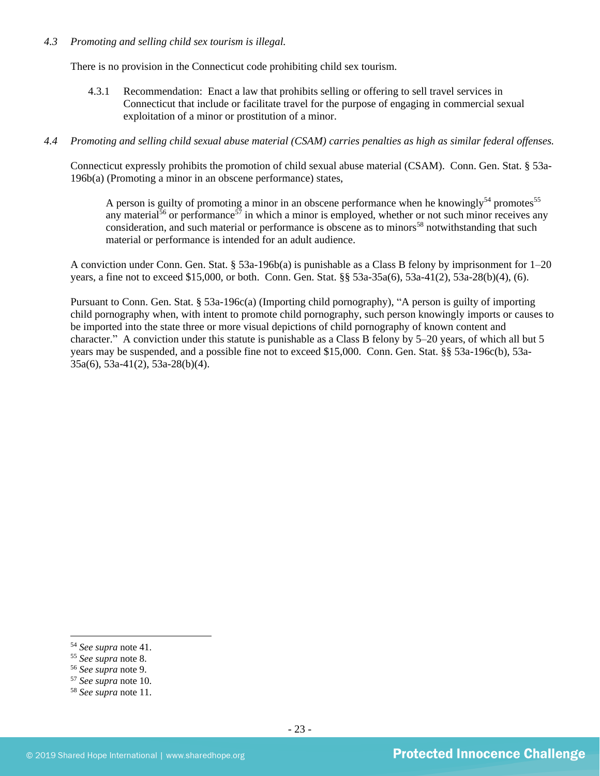## *4.3 Promoting and selling child sex tourism is illegal.*

There is no provision in the Connecticut code prohibiting child sex tourism.

4.3.1 Recommendation: Enact a law that prohibits selling or offering to sell travel services in Connecticut that include or facilitate travel for the purpose of engaging in commercial sexual exploitation of a minor or prostitution of a minor.

## *4.4 Promoting and selling child sexual abuse material (CSAM) carries penalties as high as similar federal offenses.*

Connecticut expressly prohibits the promotion of child sexual abuse material (CSAM). Conn. Gen. Stat. § 53a-196b(a) (Promoting a minor in an obscene performance) states,

A person is guilty of promoting a minor in an obscene performance when he knowingly<sup>54</sup> promotes<sup>55</sup> any material<sup>56</sup> or performance<sup>57</sup> in which a minor is employed, whether or not such minor receives any consideration, and such material or performance is obscene as to minors<sup>58</sup> notwithstanding that such material or performance is intended for an adult audience.

A conviction under Conn. Gen. Stat. § 53a-196b(a) is punishable as a Class B felony by imprisonment for 1–20 years, a fine not to exceed \$15,000, or both. Conn. Gen. Stat. §§ 53a-35a(6), 53a-41(2), 53a-28(b)(4), (6).

Pursuant to Conn. Gen. Stat. § 53a-196c(a) (Importing child pornography), "A person is guilty of importing child pornography when, with intent to promote child pornography, such person knowingly imports or causes to be imported into the state three or more visual depictions of child pornography of known content and character." A conviction under this statute is punishable as a Class B felony by 5–20 years, of which all but 5 years may be suspended, and a possible fine not to exceed \$15,000. Conn. Gen. Stat. §§ 53a-196c(b), 53a-35a(6), 53a-41(2), 53a-28(b)(4).

<sup>54</sup> *See supra* note [41.](#page-15-0) 

<sup>55</sup> *See supra* note [8.](#page-1-0) 

<sup>56</sup> *See supra* note [9.](#page-1-1)

<sup>57</sup> *See supra* note [10.](#page-1-4)

<sup>58</sup> *See supra* note [11.](#page-1-5)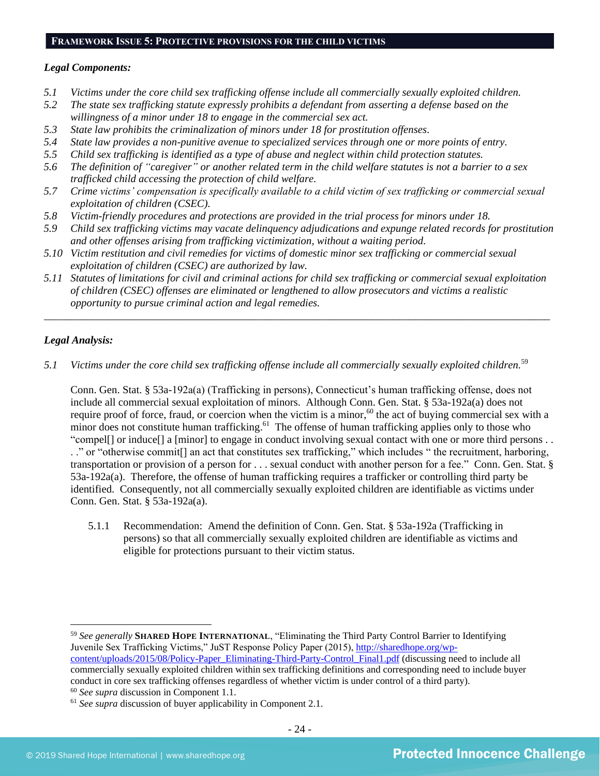#### **FRAMEWORK ISSUE 5: PROTECTIVE PROVISIONS FOR THE CHILD VICTIMS**

## *Legal Components:*

- *5.1 Victims under the core child sex trafficking offense include all commercially sexually exploited children.*
- *5.2 The state sex trafficking statute expressly prohibits a defendant from asserting a defense based on the willingness of a minor under 18 to engage in the commercial sex act.*
- *5.3 State law prohibits the criminalization of minors under 18 for prostitution offenses.*
- *5.4 State law provides a non-punitive avenue to specialized services through one or more points of entry.*
- *5.5 Child sex trafficking is identified as a type of abuse and neglect within child protection statutes.*
- *5.6 The definition of "caregiver" or another related term in the child welfare statutes is not a barrier to a sex trafficked child accessing the protection of child welfare.*
- *5.7 Crime victims' compensation is specifically available to a child victim of sex trafficking or commercial sexual exploitation of children (CSEC).*
- *5.8 Victim-friendly procedures and protections are provided in the trial process for minors under 18.*
- *5.9 Child sex trafficking victims may vacate delinquency adjudications and expunge related records for prostitution and other offenses arising from trafficking victimization, without a waiting period.*
- *5.10 Victim restitution and civil remedies for victims of domestic minor sex trafficking or commercial sexual exploitation of children (CSEC) are authorized by law.*
- *5.11 Statutes of limitations for civil and criminal actions for child sex trafficking or commercial sexual exploitation of children (CSEC) offenses are eliminated or lengthened to allow prosecutors and victims a realistic opportunity to pursue criminal action and legal remedies.*

*\_\_\_\_\_\_\_\_\_\_\_\_\_\_\_\_\_\_\_\_\_\_\_\_\_\_\_\_\_\_\_\_\_\_\_\_\_\_\_\_\_\_\_\_\_\_\_\_\_\_\_\_\_\_\_\_\_\_\_\_\_\_\_\_\_\_\_\_\_\_\_\_\_\_\_\_\_\_\_\_\_\_\_\_\_\_\_\_\_\_\_\_\_\_*

## *Legal Analysis:*

5.1 Victims under the core child sex trafficking offense include all commercially sexually exploited children.<sup>59</sup>

Conn. Gen. Stat. § 53a-192a(a) (Trafficking in persons), Connecticut's human trafficking offense, does not include all commercial sexual exploitation of minors. Although Conn. Gen. Stat. § 53a-192a(a) does not require proof of force, fraud, or coercion when the victim is a minor,<sup>60</sup> the act of buying commercial sex with a minor does not constitute human trafficking.<sup>61</sup> The offense of human trafficking applies only to those who "compel[] or induce[] a [minor] to engage in conduct involving sexual contact with one or more third persons . .

. ." or "otherwise commit[] an act that constitutes sex trafficking," which includes " the recruitment, harboring, transportation or provision of a person for . . . sexual conduct with another person for a fee." Conn. Gen. Stat. § 53a-192a(a). Therefore, the offense of human trafficking requires a trafficker or controlling third party be identified. Consequently, not all commercially sexually exploited children are identifiable as victims under Conn. Gen. Stat. § 53a-192a(a).

5.1.1 Recommendation: Amend the definition of Conn. Gen. Stat. § 53a-192a (Trafficking in persons) so that all commercially sexually exploited children are identifiable as victims and eligible for protections pursuant to their victim status.

<sup>59</sup> *See generally* **SHARED HOPE INTERNATIONAL**, "Eliminating the Third Party Control Barrier to Identifying Juvenile Sex Trafficking Victims," JuST Response Policy Paper (2015), [http://sharedhope.org/wp](http://sharedhope.org/wp-content/uploads/2015/08/Policy-Paper_Eliminating-Third-Party-Control_Final1.pdf)[content/uploads/2015/08/Policy-Paper\\_Eliminating-Third-Party-Control\\_Final1.pdf](http://sharedhope.org/wp-content/uploads/2015/08/Policy-Paper_Eliminating-Third-Party-Control_Final1.pdf) (discussing need to include all commercially sexually exploited children within sex trafficking definitions and corresponding need to include buyer conduct in core sex trafficking offenses regardless of whether victim is under control of a third party). <sup>60</sup> *See supra* discussion in Component 1.1.

<sup>&</sup>lt;sup>61</sup> See supra discussion of buyer applicability in Component 2.1.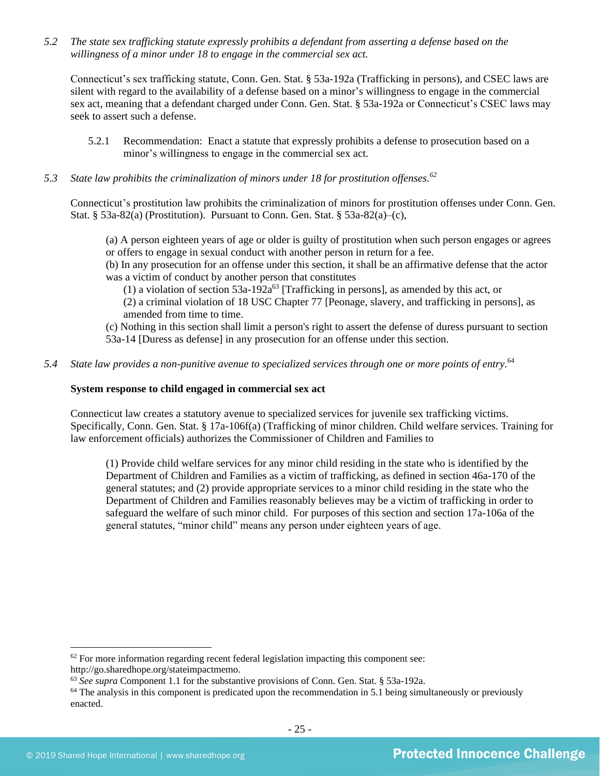*5.2 The state sex trafficking statute expressly prohibits a defendant from asserting a defense based on the willingness of a minor under 18 to engage in the commercial sex act.*

Connecticut's sex trafficking statute, Conn. Gen. Stat. § 53a-192a (Trafficking in persons), and CSEC laws are silent with regard to the availability of a defense based on a minor's willingness to engage in the commercial sex act, meaning that a defendant charged under Conn. Gen. Stat. § 53a-192a or Connecticut's CSEC laws may seek to assert such a defense.

- 5.2.1 Recommendation: Enact a statute that expressly prohibits a defense to prosecution based on a minor's willingness to engage in the commercial sex act.
- *5.3 State law prohibits the criminalization of minors under 18 for prostitution offenses. 62*

Connecticut's prostitution law prohibits the criminalization of minors for prostitution offenses under Conn. Gen. Stat. § 53a-82(a) (Prostitution). Pursuant to Conn. Gen. Stat. § 53a-82(a)–(c),

(a) A person eighteen years of age or older is guilty of prostitution when such person engages or agrees or offers to engage in sexual conduct with another person in return for a fee.

(b) In any prosecution for an offense under this section, it shall be an affirmative defense that the actor was a victim of conduct by another person that constitutes

(1) a violation of section  $53a-192a^{63}$  [Trafficking in persons], as amended by this act, or

(2) a criminal violation of 18 USC Chapter 77 [Peonage, slavery, and trafficking in persons], as amended from time to time.

(c) Nothing in this section shall limit a person's right to assert the defense of duress pursuant to section 53a-14 [Duress as defense] in any prosecution for an offense under this section.

*5.4 State law provides a non-punitive avenue to specialized services through one or more points of entry.* 64

#### **System response to child engaged in commercial sex act**

Connecticut law creates a statutory avenue to specialized services for juvenile sex trafficking victims. Specifically, Conn. Gen. Stat. § 17a-106f(a) (Trafficking of minor children. Child welfare services. Training for law enforcement officials) authorizes the Commissioner of Children and Families to

(1) Provide child welfare services for any minor child residing in the state who is identified by the Department of Children and Families as a victim of trafficking, as defined in section 46a-170 of the general statutes; and (2) provide appropriate services to a minor child residing in the state who the Department of Children and Families reasonably believes may be a victim of trafficking in order to safeguard the welfare of such minor child. For purposes of this section and section 17a-106a of the general statutes, "minor child" means any person under eighteen years of age.

 $62$  For more information regarding recent federal legislation impacting this component see: http://go.sharedhope.org/stateimpactmemo.

<sup>63</sup> *See supra* Component 1.1 for the substantive provisions of Conn. Gen. Stat. § 53a-192a.

 $64$  The analysis in this component is predicated upon the recommendation in 5.1 being simultaneously or previously enacted.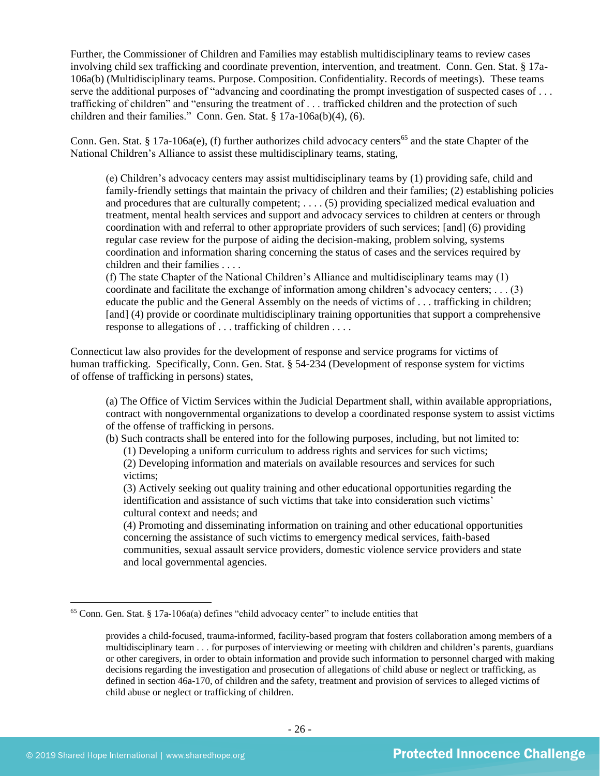Further, the Commissioner of Children and Families may establish multidisciplinary teams to review cases involving child sex trafficking and coordinate prevention, intervention, and treatment. Conn. Gen. Stat. § 17a-106a(b) (Multidisciplinary teams. Purpose. Composition. Confidentiality. Records of meetings). These teams serve the additional purposes of "advancing and coordinating the prompt investigation of suspected cases of ... trafficking of children" and "ensuring the treatment of . . . trafficked children and the protection of such children and their families." Conn. Gen. Stat. § 17a-106a(b)(4), (6).

Conn. Gen. Stat. § 17a-106a(e), (f) further authorizes child advocacy centers<sup>65</sup> and the state Chapter of the National Children's Alliance to assist these multidisciplinary teams, stating,

(e) Children's advocacy centers may assist multidisciplinary teams by (1) providing safe, child and family-friendly settings that maintain the privacy of children and their families; (2) establishing policies and procedures that are culturally competent; . . . . (5) providing specialized medical evaluation and treatment, mental health services and support and advocacy services to children at centers or through coordination with and referral to other appropriate providers of such services; [and] (6) providing regular case review for the purpose of aiding the decision-making, problem solving, systems coordination and information sharing concerning the status of cases and the services required by children and their families . . . .

(f) The state Chapter of the National Children's Alliance and multidisciplinary teams may (1) coordinate and facilitate the exchange of information among children's advocacy centers; . . . (3) educate the public and the General Assembly on the needs of victims of . . . trafficking in children; [and] (4) provide or coordinate multidisciplinary training opportunities that support a comprehensive response to allegations of . . . trafficking of children . . . .

Connecticut law also provides for the development of response and service programs for victims of human trafficking. Specifically, Conn. Gen. Stat. § 54-234 (Development of response system for victims of offense of trafficking in persons) states,

(a) The Office of Victim Services within the Judicial Department shall, within available appropriations, contract with nongovernmental organizations to develop a coordinated response system to assist victims of the offense of trafficking in persons.

(b) Such contracts shall be entered into for the following purposes, including, but not limited to:

(1) Developing a uniform curriculum to address rights and services for such victims;

(2) Developing information and materials on available resources and services for such victims;

(3) Actively seeking out quality training and other educational opportunities regarding the identification and assistance of such victims that take into consideration such victims' cultural context and needs; and

(4) Promoting and disseminating information on training and other educational opportunities concerning the assistance of such victims to emergency medical services, faith-based communities, sexual assault service providers, domestic violence service providers and state and local governmental agencies.

 $65$  Conn. Gen. Stat. § 17a-106a(a) defines "child advocacy center" to include entities that

provides a child-focused, trauma-informed, facility-based program that fosters collaboration among members of a multidisciplinary team . . . for purposes of interviewing or meeting with children and children's parents, guardians or other caregivers, in order to obtain information and provide such information to personnel charged with making decisions regarding the investigation and prosecution of allegations of child abuse or neglect or trafficking, as defined in section 46a-170, of children and the safety, treatment and provision of services to alleged victims of child abuse or neglect or trafficking of children.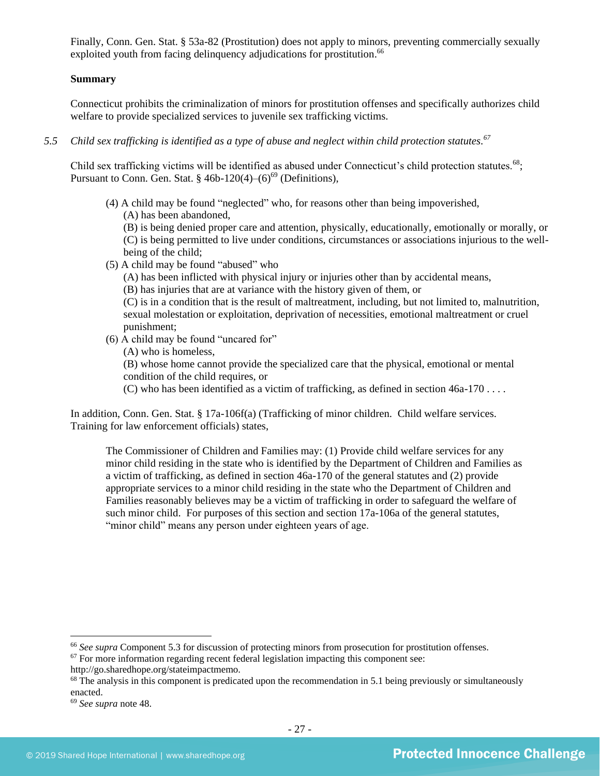Finally, Conn. Gen. Stat. § 53a-82 (Prostitution) does not apply to minors, preventing commercially sexually exploited youth from facing delinquency adjudications for prostitution.<sup>66</sup>

## **Summary**

Connecticut prohibits the criminalization of minors for prostitution offenses and specifically authorizes child welfare to provide specialized services to juvenile sex trafficking victims.

*5.5 Child sex trafficking is identified as a type of abuse and neglect within child protection statutes. 67*

Child sex trafficking victims will be identified as abused under Connecticut's child protection statutes.<sup>68</sup>; Pursuant to Conn. Gen. Stat.  $\S$  46b-120(4)–(6)<sup>69</sup> (Definitions),

(4) A child may be found "neglected" who, for reasons other than being impoverished, (A) has been abandoned,

(B) is being denied proper care and attention, physically, educationally, emotionally or morally, or (C) is being permitted to live under conditions, circumstances or associations injurious to the wellbeing of the child;

(5) A child may be found "abused" who

(A) has been inflicted with physical injury or injuries other than by accidental means,

(B) has injuries that are at variance with the history given of them, or

(C) is in a condition that is the result of maltreatment, including, but not limited to, malnutrition, sexual molestation or exploitation, deprivation of necessities, emotional maltreatment or cruel punishment;

(6) A child may be found "uncared for"

(A) who is homeless,

(B) whose home cannot provide the specialized care that the physical, emotional or mental condition of the child requires, or

(C) who has been identified as a victim of trafficking, as defined in section 46a-170 . . . .

In addition, Conn. Gen. Stat. § 17a-106f(a) (Trafficking of minor children. Child welfare services. Training for law enforcement officials) states,

The Commissioner of Children and Families may: (1) Provide child welfare services for any minor child residing in the state who is identified by the Department of Children and Families as a victim of trafficking, as defined in section 46a-170 of the general statutes and (2) provide appropriate services to a minor child residing in the state who the Department of Children and Families reasonably believes may be a victim of trafficking in order to safeguard the welfare of such minor child. For purposes of this section and section 17a-106a of the general statutes, "minor child" means any person under eighteen years of age.

<sup>&</sup>lt;sup>66</sup> See supra Component 5.3 for discussion of protecting minors from prosecution for prostitution offenses.

 $67$  For more information regarding recent federal legislation impacting this component see: http://go.sharedhope.org/stateimpactmemo.

<sup>&</sup>lt;sup>68</sup> The analysis in this component is predicated upon the recommendation in 5.1 being previously or simultaneously enacted.

<sup>69</sup> *See supra* note [48.](#page-19-0)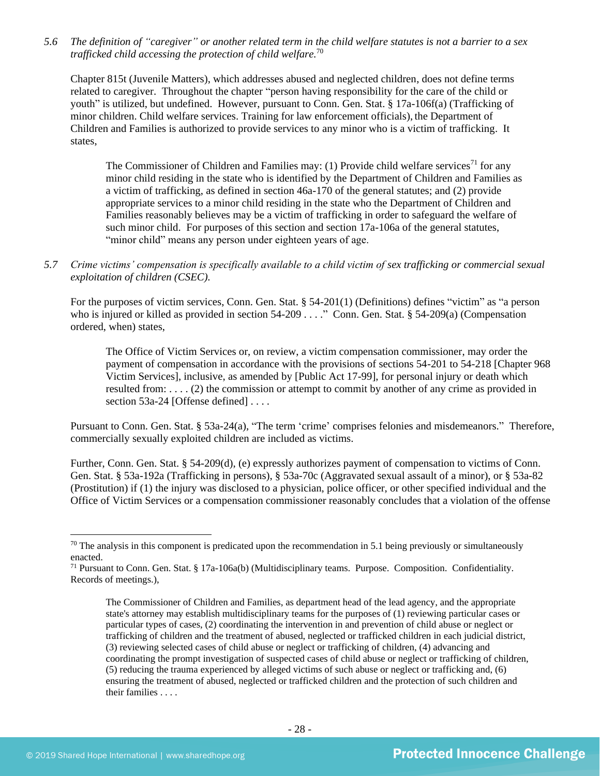*5.6 The definition of "caregiver" or another related term in the child welfare statutes is not a barrier to a sex trafficked child accessing the protection of child welfare.* 70

Chapter 815t (Juvenile Matters), which addresses abused and neglected children, does not define terms related to caregiver. Throughout the chapter "person having responsibility for the care of the child or youth" is utilized, but undefined. However, pursuant to Conn. Gen. Stat. § 17a-106f(a) (Trafficking of minor children. Child welfare services. Training for law enforcement officials), the Department of Children and Families is authorized to provide services to any minor who is a victim of trafficking. It states,

The Commissioner of Children and Families may: (1) Provide child welfare services<sup>71</sup> for any minor child residing in the state who is identified by the Department of Children and Families as a victim of trafficking, as defined in section 46a-170 of the general statutes; and (2) provide appropriate services to a minor child residing in the state who the Department of Children and Families reasonably believes may be a victim of trafficking in order to safeguard the welfare of such minor child. For purposes of this section and section 17a-106a of the general statutes, "minor child" means any person under eighteen years of age.

*5.7 Crime victims' compensation is specifically available to a child victim of sex trafficking or commercial sexual exploitation of children (CSEC).*

For the purposes of victim services, Conn. Gen. Stat. § 54-201(1) (Definitions) defines "victim" as "a person who is injured or killed as provided in section 54-209 . . . ." Conn. Gen. Stat. § 54-209(a) (Compensation ordered, when) states,

The Office of Victim Services or, on review, a victim compensation commissioner, may order the payment of compensation in accordance with the provisions of sections 54-201 to 54-218 [Chapter 968 Victim Services], inclusive, as amended by [Public Act 17-99], for personal injury or death which resulted from: . . . . (2) the commission or attempt to commit by another of any crime as provided in section 53a-24 [Offense defined] . . . .

Pursuant to Conn. Gen. Stat. § 53a-24(a), "The term 'crime' comprises felonies and misdemeanors." Therefore, commercially sexually exploited children are included as victims.

Further, Conn. Gen. Stat. § 54-209(d), (e) expressly authorizes payment of compensation to victims of Conn. Gen. Stat. § 53a-192a (Trafficking in persons), § 53a-70c (Aggravated sexual assault of a minor), or § 53a-82 (Prostitution) if (1) the injury was disclosed to a physician, police officer, or other specified individual and the Office of Victim Services or a compensation commissioner reasonably concludes that a violation of the offense

 $70$  The analysis in this component is predicated upon the recommendation in 5.1 being previously or simultaneously enacted.

<sup>71</sup> Pursuant to Conn. Gen. Stat. § 17a-106a(b) (Multidisciplinary teams. Purpose. Composition. Confidentiality. Records of meetings.),

The Commissioner of Children and Families, as department head of the lead agency, and the appropriate state's attorney may establish multidisciplinary teams for the purposes of (1) reviewing particular cases or particular types of cases, (2) coordinating the intervention in and prevention of child abuse or neglect or trafficking of children and the treatment of abused, neglected or trafficked children in each judicial district, (3) reviewing selected cases of child abuse or neglect or trafficking of children, (4) advancing and coordinating the prompt investigation of suspected cases of child abuse or neglect or trafficking of children, (5) reducing the trauma experienced by alleged victims of such abuse or neglect or trafficking and, (6) ensuring the treatment of abused, neglected or trafficked children and the protection of such children and their families . . . .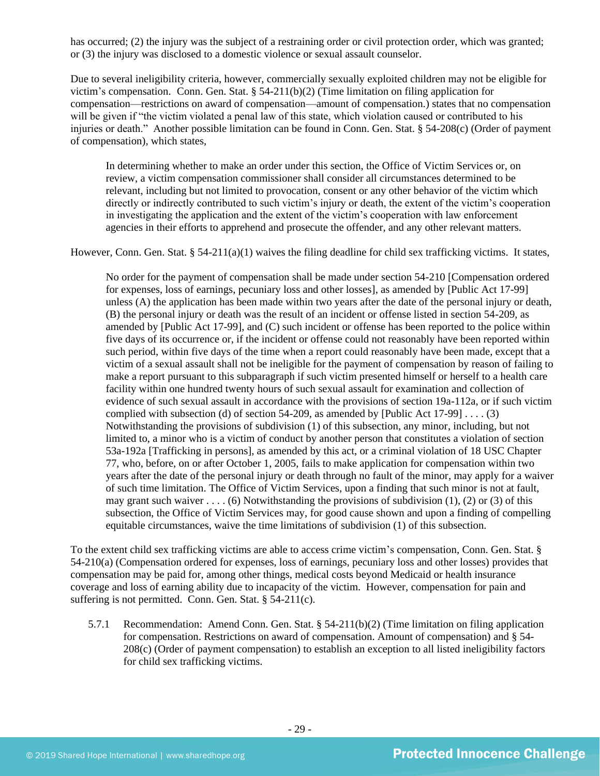has occurred; (2) the injury was the subject of a restraining order or civil protection order, which was granted; or (3) the injury was disclosed to a domestic violence or sexual assault counselor.

Due to several ineligibility criteria, however, commercially sexually exploited children may not be eligible for victim's compensation. Conn. Gen. Stat. § 54-211(b)(2) (Time limitation on filing application for compensation—restrictions on award of compensation—amount of compensation.) states that no compensation will be given if "the victim violated a penal law of this state, which violation caused or contributed to his injuries or death." Another possible limitation can be found in Conn. Gen. Stat. § 54-208(c) (Order of payment of compensation), which states,

In determining whether to make an order under this section, the Office of Victim Services or, on review, a victim compensation commissioner shall consider all circumstances determined to be relevant, including but not limited to provocation, consent or any other behavior of the victim which directly or indirectly contributed to such victim's injury or death, the extent of the victim's cooperation in investigating the application and the extent of the victim's cooperation with law enforcement agencies in their efforts to apprehend and prosecute the offender, and any other relevant matters.

However, Conn. Gen. Stat.  $\S 54-211(a)(1)$  waives the filing deadline for child sex trafficking victims. It states,

No order for the payment of compensation shall be made under section 54-210 [Compensation ordered for expenses, loss of earnings, pecuniary loss and other losses], as amended by [Public Act 17-99] unless (A) the application has been made within two years after the date of the personal injury or death, (B) the personal injury or death was the result of an incident or offense listed in section 54-209, as amended by [Public Act 17-99], and (C) such incident or offense has been reported to the police within five days of its occurrence or, if the incident or offense could not reasonably have been reported within such period, within five days of the time when a report could reasonably have been made, except that a victim of a sexual assault shall not be ineligible for the payment of compensation by reason of failing to make a report pursuant to this subparagraph if such victim presented himself or herself to a health care facility within one hundred twenty hours of such sexual assault for examination and collection of evidence of such sexual assault in accordance with the provisions of section 19a-112a, or if such victim complied with subsection (d) of section 54-209, as amended by [Public Act 17-99]  $\dots$  (3) Notwithstanding the provisions of subdivision (1) of this subsection, any minor, including, but not limited to, a minor who is a victim of conduct by another person that constitutes a violation of section 53a-192a [Trafficking in persons], as amended by this act, or a criminal violation of 18 USC Chapter 77, who, before, on or after October 1, 2005, fails to make application for compensation within two years after the date of the personal injury or death through no fault of the minor, may apply for a waiver of such time limitation. The Office of Victim Services, upon a finding that such minor is not at fault, may grant such waiver . . . . (6) Notwithstanding the provisions of subdivision (1), (2) or (3) of this subsection, the Office of Victim Services may, for good cause shown and upon a finding of compelling equitable circumstances, waive the time limitations of subdivision (1) of this subsection.

To the extent child sex trafficking victims are able to access crime victim's compensation, Conn. Gen. Stat. § 54-210(a) (Compensation ordered for expenses, loss of earnings, pecuniary loss and other losses) provides that compensation may be paid for, among other things, medical costs beyond Medicaid or health insurance coverage and loss of earning ability due to incapacity of the victim. However, compensation for pain and suffering is not permitted. Conn. Gen. Stat. § 54-211(c).

5.7.1 Recommendation: Amend Conn. Gen. Stat. § 54-211(b)(2) (Time limitation on filing application for compensation. Restrictions on award of compensation. Amount of compensation) and § 54- 208(c) (Order of payment compensation) to establish an exception to all listed ineligibility factors for child sex trafficking victims.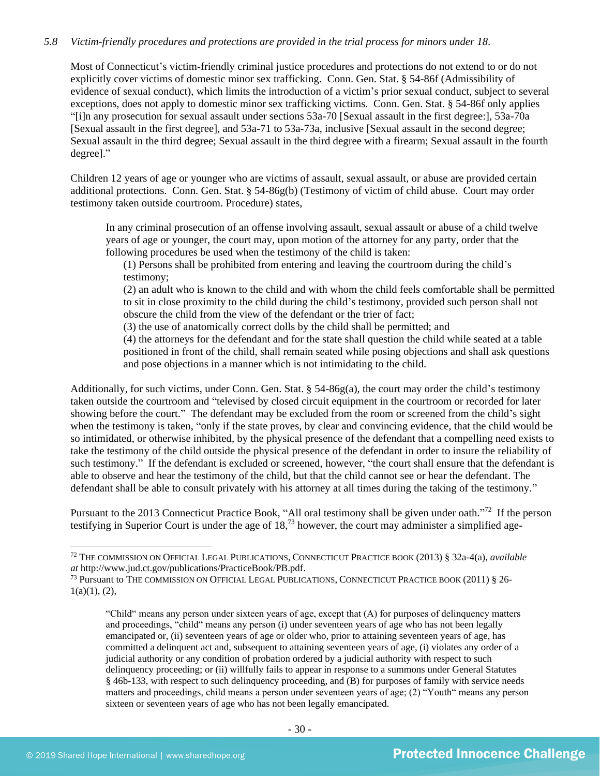## *5.8 Victim-friendly procedures and protections are provided in the trial process for minors under 18.*

Most of Connecticut's victim-friendly criminal justice procedures and protections do not extend to or do not explicitly cover victims of domestic minor sex trafficking. Conn. Gen. Stat. § 54-86f (Admissibility of evidence of sexual conduct), which limits the introduction of a victim's prior sexual conduct, subject to several exceptions, does not apply to domestic minor sex trafficking victims. Conn. Gen. Stat. § 54-86f only applies "[i]n any prosecution for sexual assault under sections 53a-70 [Sexual assault in the first degree:], 53a-70a [Sexual assault in the first degree], and 53a-71 to 53a-73a, inclusive [Sexual assault in the second degree; Sexual assault in the third degree; Sexual assault in the third degree with a firearm; Sexual assault in the fourth degree]."

Children 12 years of age or younger who are victims of assault, sexual assault, or abuse are provided certain additional protections. Conn. Gen. Stat. § 54-86g(b) (Testimony of victim of child abuse. Court may order testimony taken outside courtroom. Procedure) states,

In any criminal prosecution of an offense involving assault, sexual assault or abuse of a child twelve years of age or younger, the court may, upon motion of the attorney for any party, order that the following procedures be used when the testimony of the child is taken:

(1) Persons shall be prohibited from entering and leaving the courtroom during the child's testimony;

(2) an adult who is known to the child and with whom the child feels comfortable shall be permitted to sit in close proximity to the child during the child's testimony, provided such person shall not obscure the child from the view of the defendant or the trier of fact;

(3) the use of anatomically correct dolls by the child shall be permitted; and

(4) the attorneys for the defendant and for the state shall question the child while seated at a table positioned in front of the child, shall remain seated while posing objections and shall ask questions and pose objections in a manner which is not intimidating to the child.

Additionally, for such victims, under Conn. Gen. Stat. § 54-86g(a), the court may order the child's testimony taken outside the courtroom and "televised by closed circuit equipment in the courtroom or recorded for later showing before the court." The defendant may be excluded from the room or screened from the child's sight when the testimony is taken, "only if the state proves, by clear and convincing evidence, that the child would be so intimidated, or otherwise inhibited, by the physical presence of the defendant that a compelling need exists to take the testimony of the child outside the physical presence of the defendant in order to insure the reliability of such testimony." If the defendant is excluded or screened, however, "the court shall ensure that the defendant is able to observe and hear the testimony of the child, but that the child cannot see or hear the defendant. The defendant shall be able to consult privately with his attorney at all times during the taking of the testimony."

Pursuant to the 2013 Connecticut Practice Book, "All oral testimony shall be given under oath."<sup>72</sup> If the person testifying in Superior Court is under the age of  $18<sup>73</sup>$  however, the court may administer a simplified age-

<sup>72</sup> THE COMMISSION ON OFFICIAL LEGAL PUBLICATIONS, CONNECTICUT PRACTICE BOOK (2013) § 32a-4(a), *available at* http://www.jud.ct.gov/publications/PracticeBook/PB.pdf.

<sup>73</sup> Pursuant to THE COMMISSION ON OFFICIAL LEGAL PUBLICATIONS, CONNECTICUT PRACTICE BOOK (2011) § 26-  $1(a)(1), (2),$ 

<span id="page-29-1"></span><span id="page-29-0"></span><sup>&</sup>quot;Child" means any person under sixteen years of age, except that (A) for purposes of delinquency matters and proceedings, "child" means any person (i) under seventeen years of age who has not been legally emancipated or, (ii) seventeen years of age or older who, prior to attaining seventeen years of age, has committed a delinquent act and, subsequent to attaining seventeen years of age, (i) violates any order of a judicial authority or any condition of probation ordered by a judicial authority with respect to such delinquency proceeding; or (ii) willfully fails to appear in response to a summons under General Statutes § 46b-133, with respect to such delinquency proceeding, and (B) for purposes of family with service needs matters and proceedings, child means a person under seventeen years of age; (2) "Youth" means any person sixteen or seventeen years of age who has not been legally emancipated.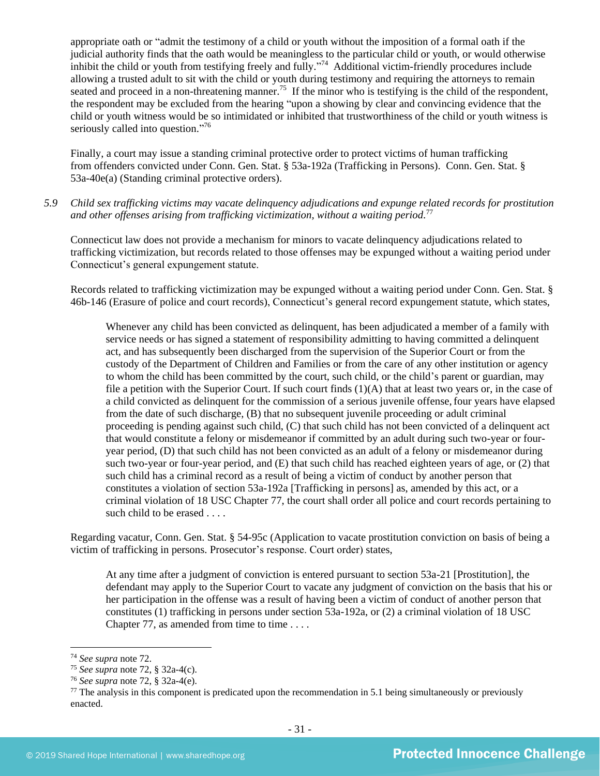appropriate oath or "admit the testimony of a child or youth without the imposition of a formal oath if the judicial authority finds that the oath would be meaningless to the particular child or youth, or would otherwise inhibit the child or youth from testifying freely and fully."<sup>74</sup> Additional victim-friendly procedures include allowing a trusted adult to sit with the child or youth during testimony and requiring the attorneys to remain seated and proceed in a non-threatening manner.<sup>75</sup> If the minor who is testifying is the child of the respondent, the respondent may be excluded from the hearing "upon a showing by clear and convincing evidence that the child or youth witness would be so intimidated or inhibited that trustworthiness of the child or youth witness is seriously called into question."<sup>76</sup>

Finally, a court may issue a standing criminal protective order to protect victims of human trafficking from offenders convicted under Conn. Gen. Stat. § 53a-192a (Trafficking in Persons). Conn. Gen. Stat. § 53a-40e(a) (Standing criminal protective orders).

*5.9 Child sex trafficking victims may vacate delinquency adjudications and expunge related records for prostitution and other offenses arising from trafficking victimization, without a waiting period.* 77

Connecticut law does not provide a mechanism for minors to vacate delinquency adjudications related to trafficking victimization, but records related to those offenses may be expunged without a waiting period under Connecticut's general expungement statute.

Records related to trafficking victimization may be expunged without a waiting period under Conn. Gen. Stat. § 46b-146 (Erasure of police and court records), Connecticut's general record expungement statute, which states,

Whenever any child has been convicted as delinquent, has been adjudicated a member of a family with service needs or has signed a statement of responsibility admitting to having committed a delinquent act, and has subsequently been discharged from the supervision of the Superior Court or from the custody of the Department of Children and Families or from the care of any other institution or agency to whom the child has been committed by the court, such child, or the child's parent or guardian, may file a petition with the Superior Court. If such court finds (1)(A) that at least two years or, in the case of a child convicted as delinquent for the commission of a serious juvenile offense,four years have elapsed from the date of such discharge, (B) that no subsequent juvenile proceeding or adult criminal proceeding is pending against such child, (C) that such child has not been convicted of a delinquent act that would constitute a felony or misdemeanor if committed by an adult during such two-year or fouryear period, (D) that such child has not been convicted as an adult of a felony or misdemeanor during such two-year or four-year period, and (E) that such child has reached eighteen years of age, or (2) that such child has a criminal record as a result of being a victim of conduct by another person that constitutes a violation of section 53a-192a [Trafficking in persons] as, amended by this act, or a criminal violation of 18 USC Chapter 77, the court shall order all police and court records pertaining to such child to be erased . . . .

Regarding vacatur, Conn. Gen. Stat. § 54-95c (Application to vacate prostitution conviction on basis of being a victim of trafficking in persons. Prosecutor's response. Court order) states,

At any time after a judgment of conviction is entered pursuant to section 53a-21 [Prostitution], the defendant may apply to the Superior Court to vacate any judgment of conviction on the basis that his or her participation in the offense was a result of having been a victim of conduct of another person that constitutes (1) trafficking in persons under section 53a-192a, or (2) a criminal violation of 18 USC Chapter 77, as amended from time to time  $\dots$ 

<sup>74</sup> *See supra* note [72.](#page-29-0)

<sup>75</sup> *See supra* note [72,](#page-29-1) § 32a-4(c).

<sup>76</sup> *See supra* note [72,](#page-29-1) § 32a-4(e).

 $77$  The analysis in this component is predicated upon the recommendation in 5.1 being simultaneously or previously enacted.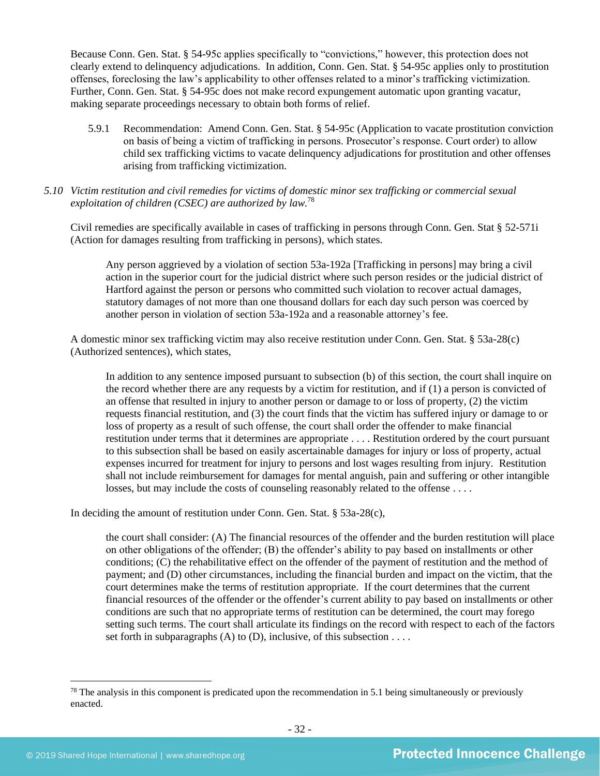Because Conn. Gen. Stat. § 54-95c applies specifically to "convictions," however, this protection does not clearly extend to delinquency adjudications. In addition, Conn. Gen. Stat. § 54-95c applies only to prostitution offenses, foreclosing the law's applicability to other offenses related to a minor's trafficking victimization. Further, Conn. Gen. Stat. § 54-95c does not make record expungement automatic upon granting vacatur, making separate proceedings necessary to obtain both forms of relief.

- 5.9.1 Recommendation: Amend Conn. Gen. Stat. § 54-95c (Application to vacate prostitution conviction on basis of being a victim of trafficking in persons. Prosecutor's response. Court order) to allow child sex trafficking victims to vacate delinquency adjudications for prostitution and other offenses arising from trafficking victimization.
- *5.10 Victim restitution and civil remedies for victims of domestic minor sex trafficking or commercial sexual exploitation of children (CSEC) are authorized by law.*<sup>78</sup>

Civil remedies are specifically available in cases of trafficking in persons through Conn. Gen. Stat § 52-571i (Action for damages resulting from trafficking in persons), which states.

Any person aggrieved by a violation of section 53a-192a [Trafficking in persons] may bring a civil action in the superior court for the judicial district where such person resides or the judicial district of Hartford against the person or persons who committed such violation to recover actual damages, statutory damages of not more than one thousand dollars for each day such person was coerced by another person in violation of section 53a-192a and a reasonable attorney's fee.

A domestic minor sex trafficking victim may also receive restitution under Conn. Gen. Stat. § 53a-28(c) (Authorized sentences), which states,

In addition to any sentence imposed pursuant to subsection (b) of this section, the court shall inquire on the record whether there are any requests by a victim for restitution, and if (1) a person is convicted of an offense that resulted in injury to another person or damage to or loss of property, (2) the victim requests financial restitution, and (3) the court finds that the victim has suffered injury or damage to or loss of property as a result of such offense, the court shall order the offender to make financial restitution under terms that it determines are appropriate . . . . Restitution ordered by the court pursuant to this subsection shall be based on easily ascertainable damages for injury or loss of property, actual expenses incurred for treatment for injury to persons and lost wages resulting from injury. Restitution shall not include reimbursement for damages for mental anguish, pain and suffering or other intangible losses, but may include the costs of counseling reasonably related to the offense ....

In deciding the amount of restitution under Conn. Gen. Stat. § 53a-28(c),

the court shall consider: (A) The financial resources of the offender and the burden restitution will place on other obligations of the offender; (B) the offender's ability to pay based on installments or other conditions; (C) the rehabilitative effect on the offender of the payment of restitution and the method of payment; and (D) other circumstances, including the financial burden and impact on the victim, that the court determines make the terms of restitution appropriate. If the court determines that the current financial resources of the offender or the offender's current ability to pay based on installments or other conditions are such that no appropriate terms of restitution can be determined, the court may forego setting such terms. The court shall articulate its findings on the record with respect to each of the factors set forth in subparagraphs (A) to (D), inclusive, of this subsection  $\dots$ .

 $78$  The analysis in this component is predicated upon the recommendation in 5.1 being simultaneously or previously enacted.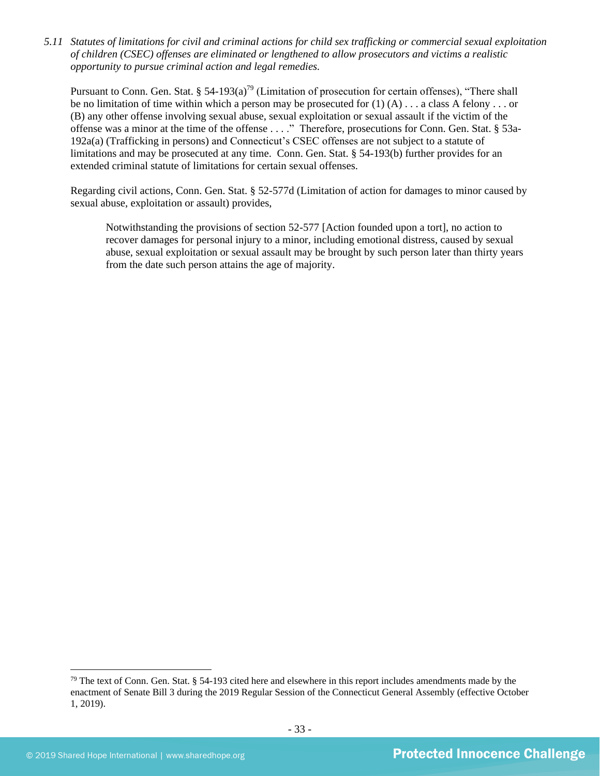*5.11 Statutes of limitations for civil and criminal actions for child sex trafficking or commercial sexual exploitation of children (CSEC) offenses are eliminated or lengthened to allow prosecutors and victims a realistic opportunity to pursue criminal action and legal remedies.*

Pursuant to Conn. Gen. Stat. § 54-193(a)<sup>79</sup> (Limitation of prosecution for certain offenses), "There shall be no limitation of time within which a person may be prosecuted for  $(1)$  (A) . . . a class A felony . . . or (B) any other offense involving sexual abuse, sexual exploitation or sexual assault if the victim of the offense was a minor at the time of the offense . . . ." Therefore, prosecutions for Conn. Gen. Stat. § 53a-192a(a) (Trafficking in persons) and Connecticut's CSEC offenses are not subject to a statute of limitations and may be prosecuted at any time. Conn. Gen. Stat. § 54-193(b) further provides for an extended criminal statute of limitations for certain sexual offenses.

Regarding civil actions, Conn. Gen. Stat. § 52-577d (Limitation of action for damages to minor caused by sexual abuse, exploitation or assault) provides,

Notwithstanding the provisions of section 52-577 [Action founded upon a tort], no action to recover damages for personal injury to a minor, including emotional distress, caused by sexual abuse, sexual exploitation or sexual assault may be brought by such person later than thirty years from the date such person attains the age of majority.

 $79$  The text of Conn. Gen. Stat. § 54-193 cited here and elsewhere in this report includes amendments made by the enactment of Senate Bill 3 during the 2019 Regular Session of the Connecticut General Assembly (effective October 1, 2019).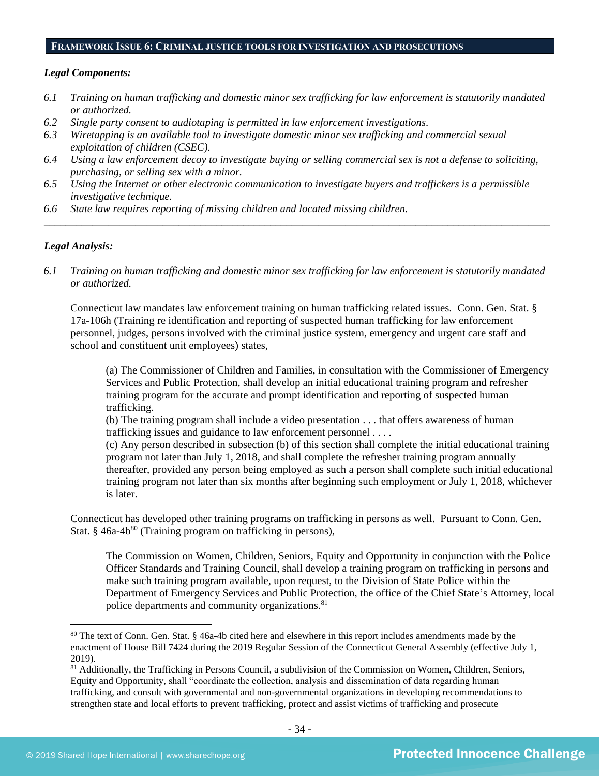### **FRAMEWORK ISSUE 6: CRIMINAL JUSTICE TOOLS FOR INVESTIGATION AND PROSECUTIONS**

#### *Legal Components:*

- *6.1 Training on human trafficking and domestic minor sex trafficking for law enforcement is statutorily mandated or authorized.*
- *6.2 Single party consent to audiotaping is permitted in law enforcement investigations.*
- *6.3 Wiretapping is an available tool to investigate domestic minor sex trafficking and commercial sexual exploitation of children (CSEC).*
- *6.4 Using a law enforcement decoy to investigate buying or selling commercial sex is not a defense to soliciting, purchasing, or selling sex with a minor.*
- *6.5 Using the Internet or other electronic communication to investigate buyers and traffickers is a permissible investigative technique.*
- *6.6 State law requires reporting of missing children and located missing children.*

#### *Legal Analysis:*

*6.1 Training on human trafficking and domestic minor sex trafficking for law enforcement is statutorily mandated or authorized.*

*\_\_\_\_\_\_\_\_\_\_\_\_\_\_\_\_\_\_\_\_\_\_\_\_\_\_\_\_\_\_\_\_\_\_\_\_\_\_\_\_\_\_\_\_\_\_\_\_\_\_\_\_\_\_\_\_\_\_\_\_\_\_\_\_\_\_\_\_\_\_\_\_\_\_\_\_\_\_\_\_\_\_\_\_\_\_\_\_\_\_\_\_\_\_*

Connecticut law mandates law enforcement training on human trafficking related issues. Conn. Gen. Stat. § 17a-106h (Training re identification and reporting of suspected human trafficking for law enforcement personnel, judges, persons involved with the criminal justice system, emergency and urgent care staff and school and constituent unit employees) states,

(a) The Commissioner of Children and Families, in consultation with the Commissioner of Emergency Services and Public Protection, shall develop an initial educational training program and refresher training program for the accurate and prompt identification and reporting of suspected human trafficking.

(b) The training program shall include a video presentation . . . that offers awareness of human trafficking issues and guidance to law enforcement personnel . . . .

(c) Any person described in subsection (b) of this section shall complete the initial educational training program not later than July 1, 2018, and shall complete the refresher training program annually thereafter, provided any person being employed as such a person shall complete such initial educational training program not later than six months after beginning such employment or July 1, 2018, whichever is later.

Connecticut has developed other training programs on trafficking in persons as well. Pursuant to Conn. Gen. Stat. § 46a-4b<sup>80</sup> (Training program on trafficking in persons),

The Commission on Women, Children, Seniors, Equity and Opportunity in conjunction with the Police Officer Standards and Training Council, shall develop a training program on trafficking in persons and make such training program available, upon request, to the Division of State Police within the Department of Emergency Services and Public Protection, the office of the Chief State's Attorney, local police departments and community organizations.<sup>81</sup>

<sup>&</sup>lt;sup>80</sup> The text of Conn. Gen. Stat. § 46a-4b cited here and elsewhere in this report includes amendments made by the enactment of House Bill 7424 during the 2019 Regular Session of the Connecticut General Assembly (effective July 1, 2019).

<sup>&</sup>lt;sup>81</sup> Additionally, the Trafficking in Persons Council, a subdivision of the Commission on Women, Children, Seniors, Equity and Opportunity, shall "coordinate the collection, analysis and dissemination of data regarding human trafficking, and consult with governmental and non-governmental organizations in developing recommendations to strengthen state and local efforts to prevent trafficking, protect and assist victims of trafficking and prosecute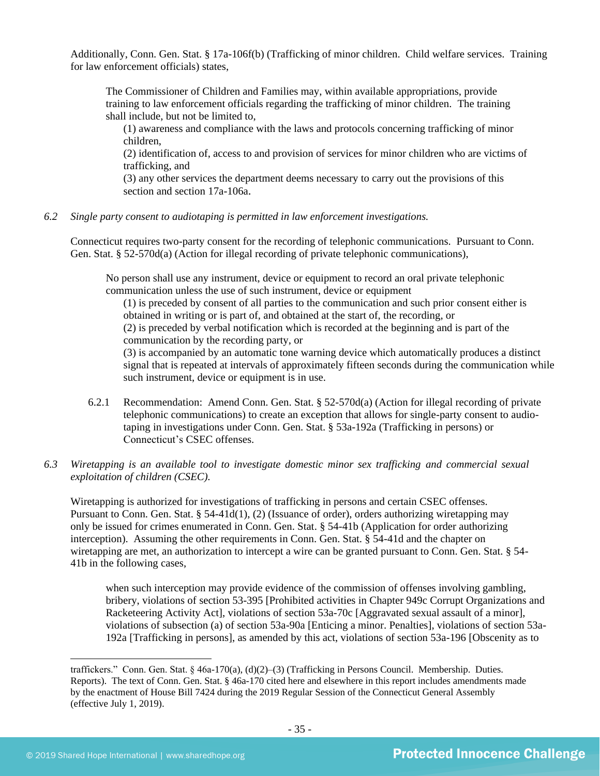Additionally, Conn. Gen. Stat. § 17a-106f(b) (Trafficking of minor children. Child welfare services. Training for law enforcement officials) states,

The Commissioner of Children and Families may, within available appropriations, provide training to law enforcement officials regarding the trafficking of minor children. The training shall include, but not be limited to,

(1) awareness and compliance with the laws and protocols concerning trafficking of minor children,

(2) identification of, access to and provision of services for minor children who are victims of trafficking, and

(3) any other services the department deems necessary to carry out the provisions of this section and section 17a-106a.

*6.2 Single party consent to audiotaping is permitted in law enforcement investigations.*

Connecticut requires two-party consent for the recording of telephonic communications. Pursuant to Conn. Gen. Stat. § 52-570d(a) (Action for illegal recording of private telephonic communications),

No person shall use any instrument, device or equipment to record an oral private telephonic communication unless the use of such instrument, device or equipment

(1) is preceded by consent of all parties to the communication and such prior consent either is obtained in writing or is part of, and obtained at the start of, the recording, or (2) is preceded by verbal notification which is recorded at the beginning and is part of the communication by the recording party, or

(3) is accompanied by an automatic tone warning device which automatically produces a distinct signal that is repeated at intervals of approximately fifteen seconds during the communication while such instrument, device or equipment is in use.

- 6.2.1 Recommendation: Amend Conn. Gen. Stat. § 52-570d(a) (Action for illegal recording of private telephonic communications) to create an exception that allows for single-party consent to audiotaping in investigations under Conn. Gen. Stat. § 53a-192a (Trafficking in persons) or Connecticut's CSEC offenses.
- *6.3 Wiretapping is an available tool to investigate domestic minor sex trafficking and commercial sexual exploitation of children (CSEC).*

Wiretapping is authorized for investigations of trafficking in persons and certain CSEC offenses. Pursuant to Conn. Gen. Stat. § 54-41d(1), (2) (Issuance of order), orders authorizing wiretapping may only be issued for crimes enumerated in Conn. Gen. Stat. § 54-41b (Application for order authorizing interception). Assuming the other requirements in Conn. Gen. Stat. § 54-41d and the chapter on wiretapping are met, an authorization to intercept a wire can be granted pursuant to Conn. Gen. Stat. § 54- 41b in the following cases,

when such interception may provide evidence of the commission of offenses involving gambling, bribery, violations of section 53-395 [Prohibited activities in Chapter 949c Corrupt Organizations and Racketeering Activity Act], violations of section 53a-70c [Aggravated sexual assault of a minor], violations of subsection (a) of section 53a-90a [Enticing a minor. Penalties], violations of section 53a-192a [Trafficking in persons], as amended by this act, violations of section 53a-196 [Obscenity as to

traffickers." Conn. Gen. Stat. § 46a-170(a), (d)(2)–(3) (Trafficking in Persons Council. Membership. Duties. Reports). The text of Conn. Gen. Stat. § 46a-170 cited here and elsewhere in this report includes amendments made by the enactment of House Bill 7424 during the 2019 Regular Session of the Connecticut General Assembly (effective July 1, 2019).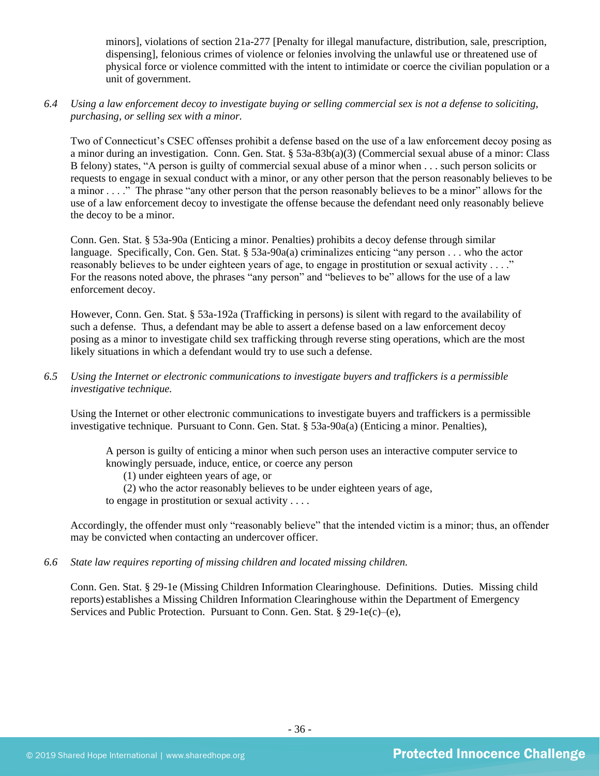minors], violations of section 21a-277 [Penalty for illegal manufacture, distribution, sale, prescription, dispensing], felonious crimes of violence or felonies involving the unlawful use or threatened use of physical force or violence committed with the intent to intimidate or coerce the civilian population or a unit of government.

*6.4 Using a law enforcement decoy to investigate buying or selling commercial sex is not a defense to soliciting, purchasing, or selling sex with a minor.*

Two of Connecticut's CSEC offenses prohibit a defense based on the use of a law enforcement decoy posing as a minor during an investigation. Conn. Gen. Stat. § 53a-83b(a)(3) (Commercial sexual abuse of a minor: Class B felony) states, "A person is guilty of commercial sexual abuse of a minor when . . . such person solicits or requests to engage in sexual conduct with a minor, or any other person that the person reasonably believes to be a minor . . . ." The phrase "any other person that the person reasonably believes to be a minor" allows for the use of a law enforcement decoy to investigate the offense because the defendant need only reasonably believe the decoy to be a minor.

Conn. Gen. Stat. § 53a-90a (Enticing a minor. Penalties) prohibits a decoy defense through similar language. Specifically, Con. Gen. Stat. § 53a-90a(a) criminalizes enticing "any person . . . who the actor reasonably believes to be under eighteen years of age, to engage in prostitution or sexual activity . . . ." For the reasons noted above, the phrases "any person" and "believes to be" allows for the use of a law enforcement decoy.

However, Conn. Gen. Stat. § 53a-192a (Trafficking in persons) is silent with regard to the availability of such a defense. Thus, a defendant may be able to assert a defense based on a law enforcement decoy posing as a minor to investigate child sex trafficking through reverse sting operations, which are the most likely situations in which a defendant would try to use such a defense.

*6.5 Using the Internet or electronic communications to investigate buyers and traffickers is a permissible investigative technique.*

Using the Internet or other electronic communications to investigate buyers and traffickers is a permissible investigative technique. Pursuant to Conn. Gen. Stat. § 53a-90a(a) (Enticing a minor. Penalties),

A person is guilty of enticing a minor when such person uses an interactive computer service to knowingly persuade, induce, entice, or coerce any person

(1) under eighteen years of age, or

(2) who the actor reasonably believes to be under eighteen years of age,

to engage in prostitution or sexual activity . . . .

Accordingly, the offender must only "reasonably believe" that the intended victim is a minor; thus, an offender may be convicted when contacting an undercover officer.

*6.6 State law requires reporting of missing children and located missing children.*

Conn. Gen. Stat. § 29-1e (Missing Children Information Clearinghouse. Definitions. Duties. Missing child reports) establishes a Missing Children Information Clearinghouse within the Department of Emergency Services and Public Protection. Pursuant to Conn. Gen. Stat. § 29-1e(c)–(e),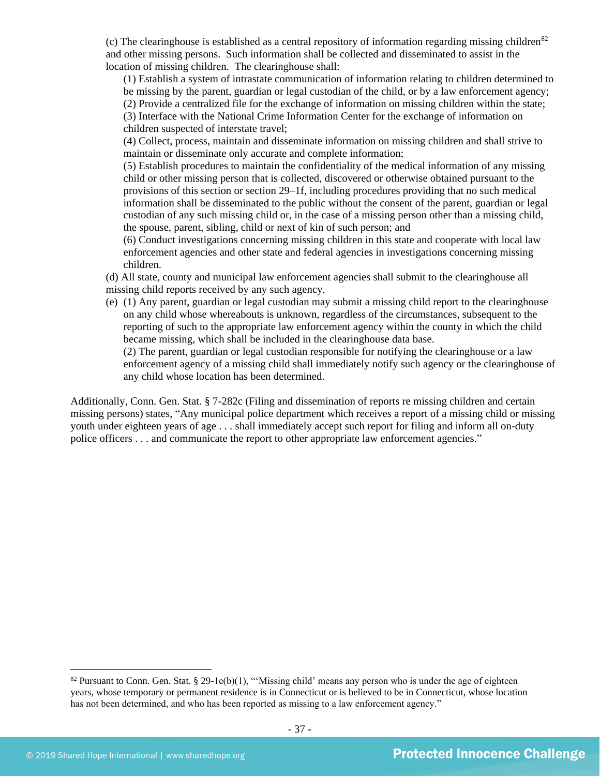(c) The clearinghouse is established as a central repository of information regarding missing children<sup>82</sup> and other missing persons. Such information shall be collected and disseminated to assist in the location of missing children. The clearinghouse shall:

(1) Establish a system of intrastate communication of information relating to children determined to be missing by the parent, guardian or legal custodian of the child, or by a law enforcement agency; (2) Provide a centralized file for the exchange of information on missing children within the state;

(3) Interface with the National Crime Information Center for the exchange of information on

children suspected of interstate travel;

(4) Collect, process, maintain and disseminate information on missing children and shall strive to maintain or disseminate only accurate and complete information;

(5) Establish procedures to maintain the confidentiality of the medical information of any missing child or other missing person that is collected, discovered or otherwise obtained pursuant to the provisions of this section or section 29–1f, including procedures providing that no such medical information shall be disseminated to the public without the consent of the parent, guardian or legal custodian of any such missing child or, in the case of a missing person other than a missing child, the spouse, parent, sibling, child or next of kin of such person; and

(6) Conduct investigations concerning missing children in this state and cooperate with local law enforcement agencies and other state and federal agencies in investigations concerning missing children.

(d) All state, county and municipal law enforcement agencies shall submit to the clearinghouse all missing child reports received by any such agency.

(e) (1) Any parent, guardian or legal custodian may submit a missing child report to the clearinghouse on any child whose whereabouts is unknown, regardless of the circumstances, subsequent to the reporting of such to the appropriate law enforcement agency within the county in which the child became missing, which shall be included in the clearinghouse data base.

(2) The parent, guardian or legal custodian responsible for notifying the clearinghouse or a law enforcement agency of a missing child shall immediately notify such agency or the clearinghouse of any child whose location has been determined.

Additionally, Conn. Gen. Stat. § 7-282c (Filing and dissemination of reports re missing children and certain missing persons) states, "Any municipal police department which receives a report of a missing child or missing youth under eighteen years of age . . . shall immediately accept such report for filing and inform all on-duty police officers . . . and communicate the report to other appropriate law enforcement agencies."

<sup>&</sup>lt;sup>82</sup> Pursuant to Conn. Gen. Stat. § 29-1e(b)(1), "'Missing child' means any person who is under the age of eighteen years, whose temporary or permanent residence is in Connecticut or is believed to be in Connecticut, whose location has not been determined, and who has been reported as missing to a law enforcement agency."